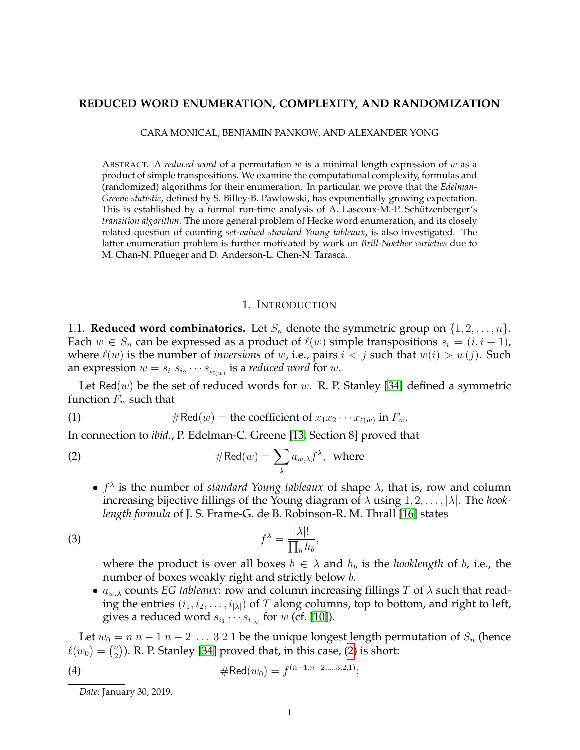#### **REDUCED WORD ENUMERATION, COMPLEXITY, AND RANDOMIZATION**

CARA MONICAL, BENJAMIN PANKOW, AND ALEXANDER YONG

ABSTRACT. A *reduced word* of a permutation w is a minimal length expression of w as a product of simple transpositions. We examine the computational complexity, formulas and (randomized) algorithms for their enumeration. In particular, we prove that the *Edelman-Greene statistic*, defined by S. Billey-B. Pawlowski, has exponentially growing expectation. This is established by a formal run-time analysis of A. Lascoux-M.-P. Schützenberger's *transition algorithm*. The more general problem of Hecke word enumeration, and its closely related question of counting *set-valued standard Young tableaux*, is also investigated. The latter enumeration problem is further motivated by work on *Brill-Noether varieties* due to M. Chan-N. Pflueger and D. Anderson-L. Chen-N. Tarasca.

#### 1. INTRODUCTION

<span id="page-0-3"></span>1.1. **Reduced word combinatorics.** Let  $S_n$  denote the symmetric group on  $\{1, 2, \ldots, n\}$ . Each  $w \in S_n$  can be expressed as a product of  $\ell(w)$  simple transpositions  $s_i = (i, i + 1)$ , where  $\ell(w)$  is the number of *inversions* of w, i.e., pairs  $i < j$  such that  $w(i) > w(j)$ . Such an expression  $w = s_{i_1} s_{i_2} \cdots s_{i_{\ell(w)}}$  is a *reduced word* for  $w.$ 

Let Red $(w)$  be the set of reduced words for w. R. P. Stanley [\[34\]](#page-22-0) defined a symmetric function  $F_w$  such that

(1) 
$$
\# \text{Red}(w) = \text{the coefficient of } x_1 x_2 \cdots x_{\ell(w)} \text{ in } F_w.
$$

In connection to *ibid.*, P. Edelman-C. Greene [\[13,](#page-21-0) Section 8] proved that

(2) 
$$
\# \text{Red}(w) = \sum_{\lambda} a_{w,\lambda} f^{\lambda}, \text{ where}
$$

<span id="page-0-0"></span>•  $f^{\lambda}$  is the number of *standard Young tableaux* of shape  $\lambda$ , that is, row and column increasing bijective fillings of the Young diagram of λ using 1, 2, . . . , |λ|. The *hooklength formula* of J. S. Frame-G. de B. Robinson-R. M. Thrall [\[16\]](#page-21-1) states

$$
f^{\lambda} = \frac{|\lambda|!}{\prod_{b} h_{b}},
$$

<span id="page-0-1"></span>where the product is over all boxes  $b \in \lambda$  and  $h_b$  is the *hooklength* of b, i.e., the number of boxes weakly right and strictly below *b*.

•  $a_{w,\lambda}$  counts *EG tableaux*: row and column increasing fillings *T* of  $\lambda$  such that reading the entries  $(i_1, i_2, \ldots, i_{|\lambda|})$  of T along columns, top to bottom, and right to left, gives a reduced word  $s_{i_1} \cdots s_{i_{|\lambda|}}$  for  $w$  (cf. [\[10\]](#page-21-2)).

Let  $w_0 = n n - 1 n - 2 ... 3 2 1$  be the unique longest length permutation of  $S_n$  (hence  $\ell(w_0) = \binom{n}{2}$  $\binom{n}{2}$ ). R. P. Stanley [\[34\]](#page-22-0) proved that, in this case, [\(2\)](#page-0-0) is short:

(4) 
$$
\#Red(w_0) = f^{(n-1,n-2,\ldots,3,2,1)};
$$

<span id="page-0-2"></span>*Date*: January 30, 2019.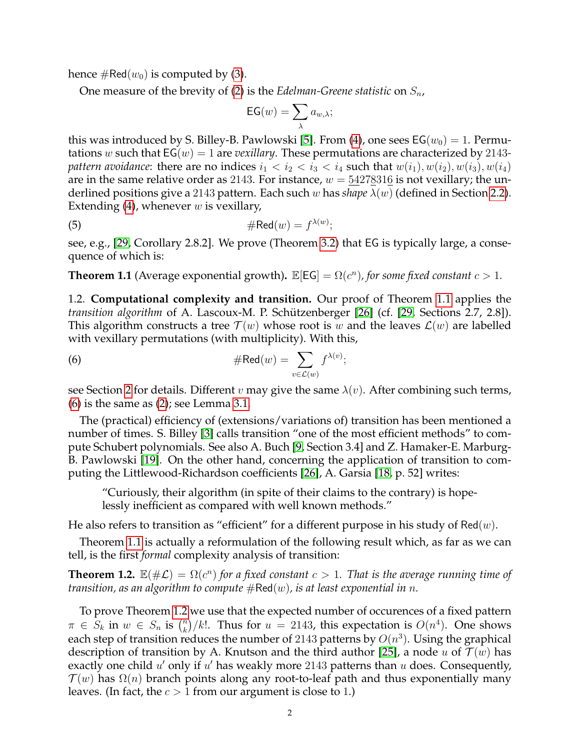hence  $\#\text{Red}(w_0)$  is computed by [\(3\)](#page-0-1).

One measure of the brevity of [\(2\)](#page-0-0) is the *Edelman-Greene statistic* on  $S_n$ ,

<span id="page-1-3"></span>
$$
\textsf{EG}(w) = \sum_{\lambda} a_{w,\lambda};
$$

this was introduced by S. Billey-B. Pawlowski [\[5\]](#page-21-3). From [\(4\)](#page-0-2), one sees  $EG(w_0) = 1$ . Permutations w such that  $EG(w) = 1$  are *vexillary*. These permutations are characterized by 2143*pattern avoidance*: there are no indices  $i_1 < i_2 < i_3 < i_4$  such that  $w(i_1), w(i_2), w(i_3), w(i_4)$ are in the same relative order as 2143. For instance,  $w = 54278316$  is not vexillary; the underlined positions give a 2143 pattern. Each such w has *shape* λ(w) (defined in Section [2.2\)](#page-4-0). Extending [\(4\)](#page-0-2), whenever  $w$  is vexillary,

(5) 
$$
\# \text{Red}(w) = f^{\lambda(w)};
$$

see, e.g., [\[29,](#page-22-1) Corollary 2.8.2]. We prove (Theorem [3.2\)](#page-7-0) that EG is typically large, a consequence of which is:

<span id="page-1-0"></span>**Theorem 1.1** (Average exponential growth).  $\mathbb{E}[EG] = \Omega(c^n)$ , for some fixed constant  $c > 1$ .

1.2. **Computational complexity and transition.** Our proof of Theorem [1.1](#page-1-0) applies the *transition algorithm* of A. Lascoux-M. P. Schützenberger [\[26\]](#page-22-2) (cf. [\[29,](#page-22-1) Sections 2.7, 2.8]). This algorithm constructs a tree  $\mathcal{T}(w)$  whose root is w and the leaves  $\mathcal{L}(w)$  are labelled with vexillary permutations (with multiplicity). With this,

<span id="page-1-1"></span>(6) 
$$
\# \text{Red}(w) = \sum_{v \in \mathcal{L}(w)} f^{\lambda(v)};
$$

see Section [2](#page-3-0) for details. Different v may give the same  $\lambda(v)$ . After combining such terms,  $(6)$  is the same as  $(2)$ ; see Lemma [3.1.](#page-6-0)

The (practical) efficiency of (extensions/variations of) transition has been mentioned a number of times. S. Billey [\[3\]](#page-21-4) calls transition "one of the most efficient methods" to compute Schubert polynomials. See also A. Buch [\[9,](#page-21-5) Section 3.4] and Z. Hamaker-E. Marburg-B. Pawlowski [\[19\]](#page-21-6). On the other hand, concerning the application of transition to computing the Littlewood-Richardson coefficients [\[26\]](#page-22-2), A. Garsia [\[18,](#page-21-7) p. 52] writes:

"Curiously, their algorithm (in spite of their claims to the contrary) is hopelessly inefficient as compared with well known methods."

He also refers to transition as "efficient" for a different purpose in his study of  $\text{Red}(w)$ .

Theorem [1.1](#page-1-0) is actually a reformulation of the following result which, as far as we can tell, is the first *formal* complexity analysis of transition:

<span id="page-1-2"></span>**Theorem 1.2.**  $\mathbb{E}(\#\mathcal{L}) = \Omega(c^n)$  for a fixed constant  $c > 1$ . That is the average running time of *transition, as an algorithm to compute*  $#Red(w)$ *, is at least exponential in n.* 

To prove Theorem [1.2](#page-1-2) we use that the expected number of occurences of a fixed pattern  $\pi \in \overline{S_k}$  in  $w \in S_n$  is  $\binom{n}{k}$  $\binom{n}{k}/k!$ . Thus for  $u = 2143$ , this expectation is  $O(n^4)$ . One shows each step of transition reduces the number of 2143 patterns by  $O(n^3)$ . Using the graphical description of transition by A. Knutson and the third author [\[25\]](#page-22-3), a node u of  $\mathcal{T}(w)$  has exactly one child  $u'$  only if  $u'$  has weakly more 2143 patterns than  $u$  does. Consequently,  $\mathcal{T}(w)$  has  $\Omega(n)$  branch points along any root-to-leaf path and thus exponentially many leaves. (In fact, the  $c > 1$  from our argument is close to 1.)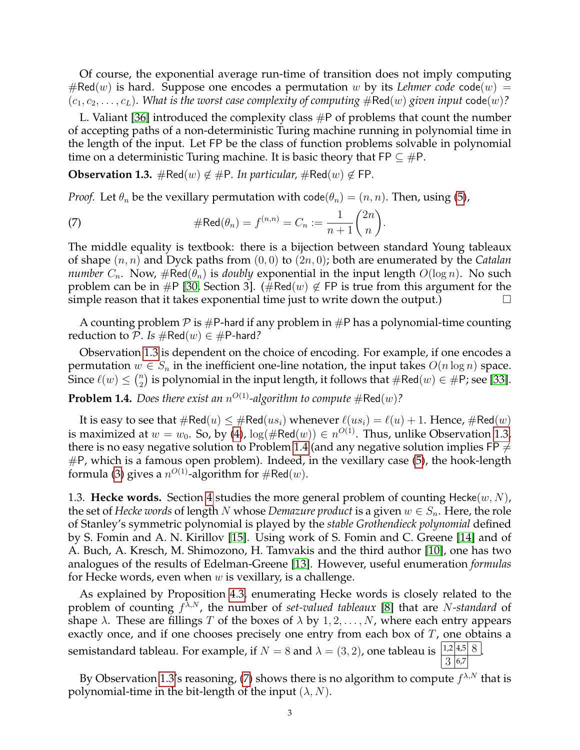Of course, the exponential average run-time of transition does not imply computing  $#Red(w)$  is hard. Suppose one encodes a permutation w by its *Lehmer code* code $(w)$  =  $(c_1, c_2, \ldots, c_L)$ . *What is the worst case complexity of computing*  $\#\text{Red}(w)$  *given input* code $(w)$ ?

L. Valiant [\[36\]](#page-22-4) introduced the complexity class  $\#P$  of problems that count the number of accepting paths of a non-deterministic Turing machine running in polynomial time in the length of the input. Let FP be the class of function problems solvable in polynomial time on a deterministic Turing machine. It is basic theory that  $\mathsf{FP} \subseteq \mathsf{\#P}$ .

<span id="page-2-0"></span>**Observation 1.3.**  $\#\text{Red}(w) \notin \#\text{P}$ . In particular,  $\#\text{Red}(w) \notin \text{FP}$ .

*Proof.* Let  $\theta_n$  be the vexillary permutation with code( $\theta_n$ ) =  $(n, n)$ . Then, using [\(5\)](#page-1-3),

<span id="page-2-2"></span>(7) 
$$
\# \text{Red}(\theta_n) = f^{(n,n)} = C_n := \frac{1}{n+1} {2n \choose n}.
$$

The middle equality is textbook: there is a bijection between standard Young tableaux of shape (n, n) and Dyck paths from (0, 0) to (2n, 0); both are enumerated by the *Catalan number*  $C_n$ . Now,  $\#\text{Red}(\theta_n)$  is *doubly* exponential in the input length  $O(\log n)$ . No such problem can be in #P [\[30,](#page-22-5) Section 3]. (#Red(w)  $\notin$  FP is true from this argument for the simple reason that it takes exponential time just to write down the output.)  $\Box$ 

A counting problem  $\mathcal P$  is  $\#P$ -hard if any problem in  $\#P$  has a polynomial-time counting reduction to P. Is  $#Red(w) \in #P$ -hard?

Observation [1.3](#page-2-0) is dependent on the choice of encoding. For example, if one encodes a permutation  $w \in S_n$  in the inefficient one-line notation, the input takes  $O(n \log n)$  space. Since  $\ell(w) \leq {n \choose 2}$  $\binom{n}{2}$  is polynomial in the input length, it follows that  $\#\mathsf{Red}(w)\in \#\mathsf{P}$ ; see [\[33\]](#page-22-6).

<span id="page-2-1"></span>**Problem 1.4.** Does there exist an  $n^{O(1)}$ -algorithm to compute  $\#\text{Red}(w)$ ?

It is easy to see that  $\#\text{Red}(u) \leq \#\text{Red}(us_i)$  whenever  $\ell(us_i) = \ell(u) + 1$ . Hence,  $\#\text{Red}(w)$ is maximized at  $w=w_0.$  So, by [\(4\)](#page-0-2),  $\log(\#\text{Red}(w))\in n^{O(1)}.$  Thus, unlike Observation [1.3,](#page-2-0) there is no easy negative solution to Problem [1.4](#page-2-1) (and any negative solution implies FP  $\neq$  $#P$ , which is a famous open problem). Indeed, in the vexillary case [\(5\)](#page-1-3), the hook-length formula [\(3\)](#page-0-1) gives a  $n^{O(1)}$ -algorithm for  $\#\text{Red}(w).$ 

1.3. **Hecke words.** Section [4](#page-13-0) studies the more general problem of counting Hecke $(w, N)$ , the set of *Hecke words* of length N whose *Demazure product* is a given  $w \in S_n$ . Here, the role of Stanley's symmetric polynomial is played by the *stable Grothendieck polynomial* defined by S. Fomin and A. N. Kirillov [\[15\]](#page-21-8). Using work of S. Fomin and C. Greene [\[14\]](#page-21-9) and of A. Buch, A. Kresch, M. Shimozono, H. Tamvakis and the third author [\[10\]](#page-21-2), one has two analogues of the results of Edelman-Greene [\[13\]](#page-21-0). However, useful enumeration *formulas* for Hecke words, even when  $w$  is vexillary, is a challenge.

As explained by Proposition [4.3,](#page-15-0) enumerating Hecke words is closely related to the problem of counting  $f^{\lambda,N}$ , the number of *set-valued tableaux* [\[8\]](#page-21-10) that are *N-standard* of shape  $\lambda$ . These are fillings T of the boxes of  $\lambda$  by  $1, 2, \ldots, N$ , where each entry appears exactly once, and if one chooses precisely one entry from each box of  $T$ , one obtains a semistandard tableau. For example, if  $N = 8$  and  $\lambda = (3, 2)$ , one tableau is  $\frac{1,2[4,5]}{8}$  $3|6,7$ .

By Observation [1.3'](#page-2-0)s reasoning, [\(7\)](#page-2-2) shows there is no algorithm to compute  $f^{\lambda,N}$  that is polynomial-time in the bit-length of the input  $(\lambda, N)$ .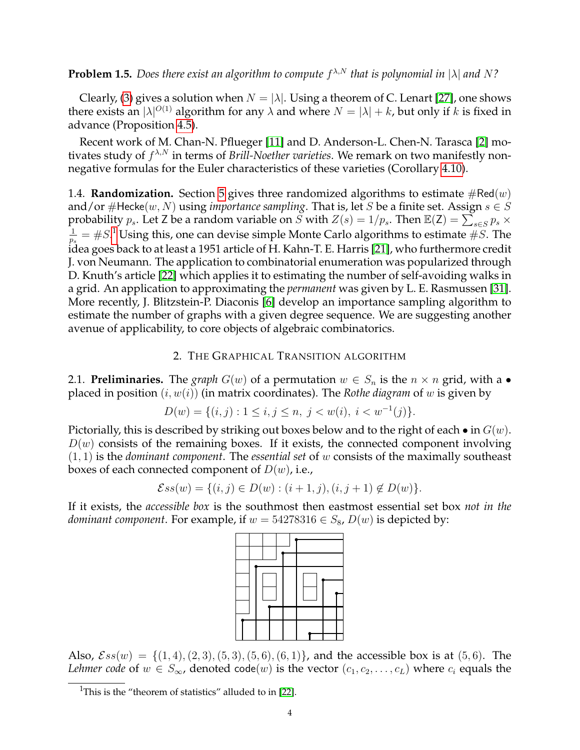**Problem 1.5.** Does there exist an algorithm to compute  $f^{\lambda,N}$  that is polynomial in  $|\lambda|$  and N?

Clearly, [\(3\)](#page-0-1) gives a solution when  $N = |\lambda|$ . Using a theorem of C. Lenart [\[27\]](#page-22-7), one shows there exists an  $|\lambda|^{O(1)}$  algorithm for any  $\lambda$  and where  $N = |\lambda| + k$ , but only if  $k$  is fixed in advance (Proposition [4.5\)](#page-16-0).

Recent work of M. Chan-N. Pflueger [\[11\]](#page-21-11) and D. Anderson-L. Chen-N. Tarasca [\[2\]](#page-21-12) motivates study of  $f^{\lambda,N}$  in terms of *Brill-Noether varieties*. We remark on two manifestly nonnegative formulas for the Euler characteristics of these varieties (Corollary [4.10\)](#page-17-0).

1.4. **Randomization.** Section [5](#page-17-1) gives three randomized algorithms to estimate  $\#Red(w)$ and/or  $\#$ Hecke $(w, N)$  using *importance sampling*. That is, let S be a finite set. Assign  $s \in S$ probability  $p_s$ . Let Z be a random variable on  $\widetilde{S}$  with  $Z(s) = 1/p_s$ . Then  $\mathbb{E}(Z) = \sum_{s \in S} p_s \times$ 1  $\frac{1}{p_s}=\#S^{.1}$  $\frac{1}{p_s}=\#S^{.1}$  $\frac{1}{p_s}=\#S^{.1}$  Using this, one can devise simple Monte Carlo algorithms to estimate  $\#S.$  The idea goes back to at least a 1951 article of H. Kahn-T. E. Harris [\[21\]](#page-21-13), who furthermore credit J. von Neumann. The application to combinatorial enumeration was popularized through D. Knuth's article [\[22\]](#page-21-14) which applies it to estimating the number of self-avoiding walks in a grid. An application to approximating the *permanent* was given by L. E. Rasmussen [\[31\]](#page-22-8). More recently, J. Blitzstein-P. Diaconis [\[6\]](#page-21-15) develop an importance sampling algorithm to estimate the number of graphs with a given degree sequence. We are suggesting another avenue of applicability, to core objects of algebraic combinatorics.

### 2. THE GRAPHICAL TRANSITION ALGORITHM

<span id="page-3-0"></span>2.1. **Preliminaries.** The *graph*  $G(w)$  of a permutation  $w \in S_n$  is the  $n \times n$  grid, with a • placed in position (i, w(i)) (in matrix coordinates). The *Rothe diagram* of w is given by

$$
D(w) = \{(i, j) : 1 \le i, j \le n, j < w(i), i < w^{-1}(j)\}.
$$

Pictorially, this is described by striking out boxes below and to the right of each  $\bullet$  in  $G(w)$ .  $D(w)$  consists of the remaining boxes. If it exists, the connected component involving (1, 1) is the *dominant component*. The *essential set* of w consists of the maximally southeast boxes of each connected component of  $D(w)$ , i.e.,

$$
\mathcal{E}ss(w) = \{(i,j) \in D(w) : (i+1,j), (i,j+1) \notin D(w)\}.
$$

If it exists, the *accessible box* is the southmost then eastmost essential set box *not in the dominant component.* For example, if  $w = 54278316 \in S_8$ ,  $D(w)$  is depicted by:



Also,  $Ess(w) = \{(1,4), (2,3), (5,3), (5,6), (6,1)\}\$ , and the accessible box is at  $(5,6)$ . The *Lehmer code* of  $w \in S_{\infty}$ , denoted code(w) is the vector  $(c_1, c_2, \ldots, c_L)$  where  $c_i$  equals the

<span id="page-3-1"></span><sup>&</sup>lt;sup>1</sup>This is the "theorem of statistics" alluded to in [\[22\]](#page-21-14).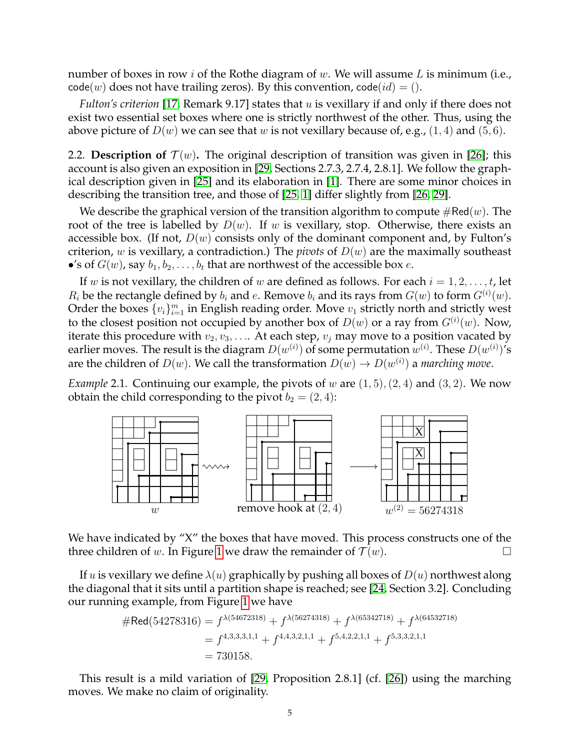number of boxes in row i of the Rothe diagram of  $w$ . We will assume L is minimum (i.e.,  $code(w)$  does not have trailing zeros). By this convention,  $code(id) = ()$ .

*Fulton's criterion* [\[17,](#page-21-16) Remark 9.17] states that u is vexillary if and only if there does not exist two essential set boxes where one is strictly northwest of the other. Thus, using the above picture of  $D(w)$  we can see that w is not vexillary because of, e.g., (1, 4) and (5, 6).

<span id="page-4-0"></span>2.2. **Description of**  $\mathcal{T}(w)$ . The original description of transition was given in [\[26\]](#page-22-2); this account is also given an exposition in [\[29,](#page-22-1) Sections 2.7.3, 2.7.4, 2.8.1]. We follow the graphical description given in [\[25\]](#page-22-3) and its elaboration in [\[1\]](#page-21-17). There are some minor choices in describing the transition tree, and those of [\[25,](#page-22-3) [1\]](#page-21-17) differ slightly from [\[26,](#page-22-2) [29\]](#page-22-1).

We describe the graphical version of the transition algorithm to compute  $\#\text{Red}(w)$ . The root of the tree is labelled by  $D(w)$ . If w is vexillary, stop. Otherwise, there exists an accessible box. (If not,  $D(w)$  consists only of the dominant component and, by Fulton's criterion, w is vexillary, a contradiction.) The *pivots* of  $D(w)$  are the maximally southeast •'s of  $G(w)$ , say  $b_1, b_2, \ldots, b_t$  that are northwest of the accessible box  $e$ .

If w is not vexillary, the children of w are defined as follows. For each  $i = 1, 2, \ldots, t$ , let  $R_i$  be the rectangle defined by  $b_i$  and  $e$ . Remove  $b_i$  and its rays from  $G(w)$  to form  $G^{(i)}(w)$ . Order the boxes  $\{v_i\}_{i=1}^m$  in English reading order. Move  $v_1$  strictly north and strictly west to the closest position not occupied by another box of  $D(w)$  or a ray from  $G^{(i)}(w)$ . Now, iterate this procedure with  $v_2, v_3, \ldots$  At each step,  $v_i$  may move to a position vacated by earlier moves. The result is the diagram  $D(w^{(i)})$  of some permutation  $w^{(i)}.$  These  $D(w^{(i)})^{\prime}$ s are the children of  $D(w)$ . We call the transformation  $D(w) \rightarrow D(w^{(i)})$  a *marching move*.

*Example* 2.1. Continuing our example, the pivots of w are  $(1,5)$ ,  $(2,4)$  and  $(3,2)$ . We now obtain the child corresponding to the pivot  $b_2 = (2, 4)$ :



We have indicated by "X" the boxes that have moved. This process constructs one of the three children of w. In Figure [1](#page-5-0) we draw the remainder of  $\mathcal{T}(w)$ .

If u is vexillary we define  $\lambda(u)$  graphically by pushing all boxes of  $D(u)$  northwest along the diagonal that it sits until a partition shape is reached; see [\[24,](#page-21-18) Section 3.2]. Concluding our running example, from Figure [1](#page-5-0) we have

$$
\# \text{Red}(54278316) = f^{\lambda(54672318)} + f^{\lambda(56274318)} + f^{\lambda(65342718)} + f^{\lambda(64532718)}
$$
  
= f<sup>4,3,3,3,1,1</sup> + f<sup>4,4,3,2,1,1</sup> + f<sup>5,4,2,2,1,1</sup> + f<sup>5,3,3,2,1,1</sup>  
= 730158.

This result is a mild variation of [\[29,](#page-22-1) Proposition 2.8.1] (cf. [\[26\]](#page-22-2)) using the marching moves. We make no claim of originality.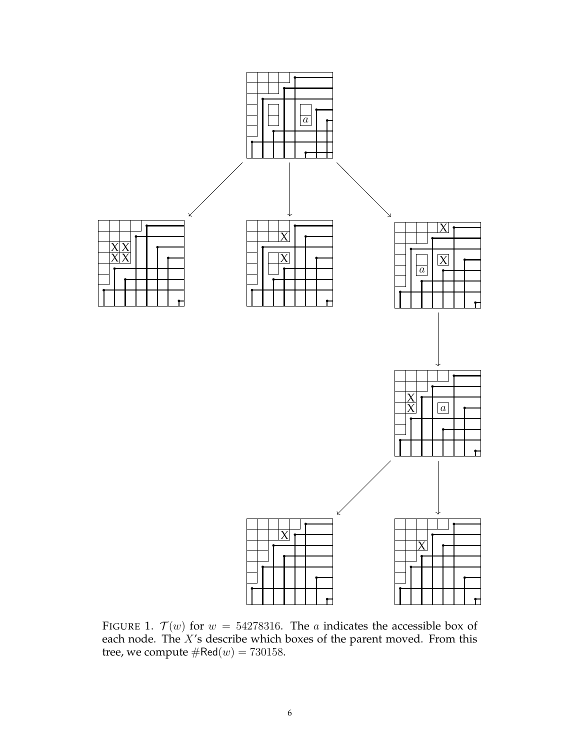

<span id="page-5-0"></span>FIGURE 1.  $\mathcal{T}(w)$  for  $w = 54278316$ . The a indicates the accessible box of each node. The  $X$ 's describe which boxes of the parent moved. From this tree, we compute  $\#\textsf{Red}(w) = 730158.$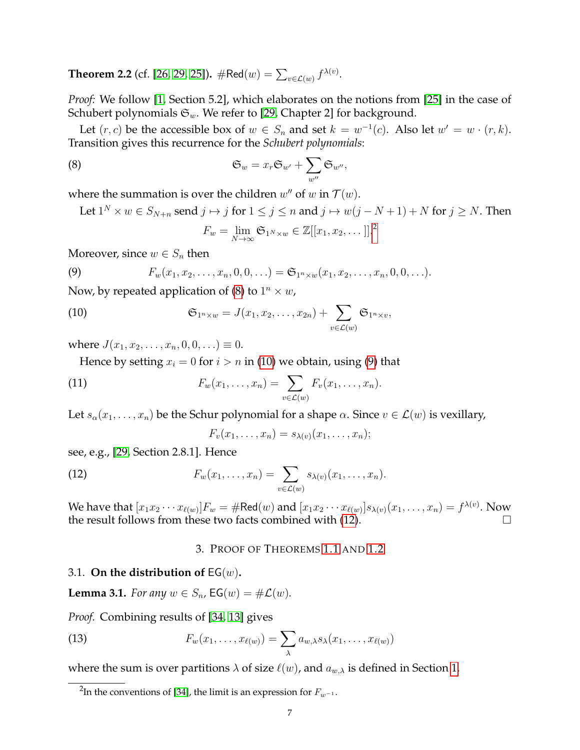<span id="page-6-7"></span>**Theorem 2.2** (cf. [\[26,](#page-22-2) [29,](#page-22-1) [25\]](#page-22-3)).  $\# \text{Red}(w) = \sum_{v \in \mathcal{L}(w)} f^{\lambda(v)}$ .

*Proof:* We follow [\[1,](#page-21-17) Section 5.2], which elaborates on the notions from [\[25\]](#page-22-3) in the case of Schubert polynomials  $\mathfrak{S}_w$ . We refer to [\[29,](#page-22-1) Chapter 2] for background.

Let  $(r, c)$  be the accessible box of  $w \in S_n$  and set  $k = w^{-1}(c)$ . Also let  $w' = w \cdot (r, k)$ . Transition gives this recurrence for the *Schubert polynomials*:

(8) 
$$
\mathfrak{S}_w = x_r \mathfrak{S}_{w'} + \sum_{w''} \mathfrak{S}_{w''},
$$

where the summation is over the children  $w''$  of  $w$  in  $\mathcal{T}(w)$ .

Let  $1^N \times w \in S_{N+n}$  send  $j \mapsto j$  for  $1 \le j \le n$  and  $j \mapsto w(j-N+1) + N$  for  $j \ge N$ . Then

<span id="page-6-4"></span><span id="page-6-3"></span><span id="page-6-2"></span>
$$
F_w = \lim_{N \to \infty} \mathfrak{S}_{1^N \times w} \in \mathbb{Z}[[x_1, x_2, \dots]].^2
$$

Moreover, since  $w \in S_n$  then

(9) 
$$
F_w(x_1, x_2, \ldots, x_n, 0, 0, \ldots) = \mathfrak{S}_{1^n \times w}(x_1, x_2, \ldots, x_n, 0, 0, \ldots).
$$

Now, by repeated application of [\(8\)](#page-6-2) to  $1^n \times w$ ,

(10) 
$$
\mathfrak{S}_{1^n \times w} = J(x_1, x_2, \dots, x_{2n}) + \sum_{v \in \mathcal{L}(w)} \mathfrak{S}_{1^n \times v},
$$

where  $J(x_1, x_2, \ldots, x_n, 0, 0, \ldots) \equiv 0$ .

Hence by setting  $x_i = 0$  for  $i > n$  in [\(10\)](#page-6-3) we obtain, using [\(9\)](#page-6-4) that

(11) 
$$
F_w(x_1,\ldots,x_n)=\sum_{v\in\mathcal{L}(w)}F_v(x_1,\ldots,x_n).
$$

Let  $s_{\alpha}(x_1,\ldots,x_n)$  be the Schur polynomial for a shape  $\alpha$ . Since  $v \in \mathcal{L}(w)$  is vexillary,

<span id="page-6-5"></span>
$$
F_v(x_1,\ldots,x_n)=s_{\lambda(v)}(x_1,\ldots,x_n);
$$

see, e.g., [\[29,](#page-22-1) Section 2.8.1]. Hence

(12) 
$$
F_w(x_1,\ldots,x_n)=\sum_{v\in\mathcal{L}(w)}s_{\lambda(v)}(x_1,\ldots,x_n).
$$

We have that  $[x_1x_2\cdots x_{\ell(w)}]F_w=\#\text{Red}(w)$  and  $[x_1x_2\cdots x_{\ell(w)}]s_{\lambda(v)}(x_1,\ldots,x_n)=f^{\lambda(v)}.$  Now the result follows from these two facts combined with  $(12)$ .

## <span id="page-6-6"></span>3. PROOF OF THEOREMS [1.1](#page-1-0) AND [1.2](#page-1-2)

#### 3.1. **On the distribution of** EG(w)**.**

<span id="page-6-0"></span>**Lemma 3.1.** *For any*  $w \in S_n$ , **EG** $(w) = \# \mathcal{L}(w)$ *.* 

*Proof.* Combining results of [\[34,](#page-22-0) [13\]](#page-21-0) gives

(13) 
$$
F_w(x_1,\ldots,x_{\ell(w)})=\sum_{\lambda}a_{w,\lambda}s_{\lambda}(x_1,\ldots,x_{\ell(w)})
$$

where the sum is over partitions  $\lambda$  of size  $\ell(w)$ , and  $a_{w,\lambda}$  is defined in Section [1.](#page-0-3)

<span id="page-6-1"></span> $^2$ In the conventions of [\[34\]](#page-22-0), the limit is an expression for  $F_{w^{-1}}$ .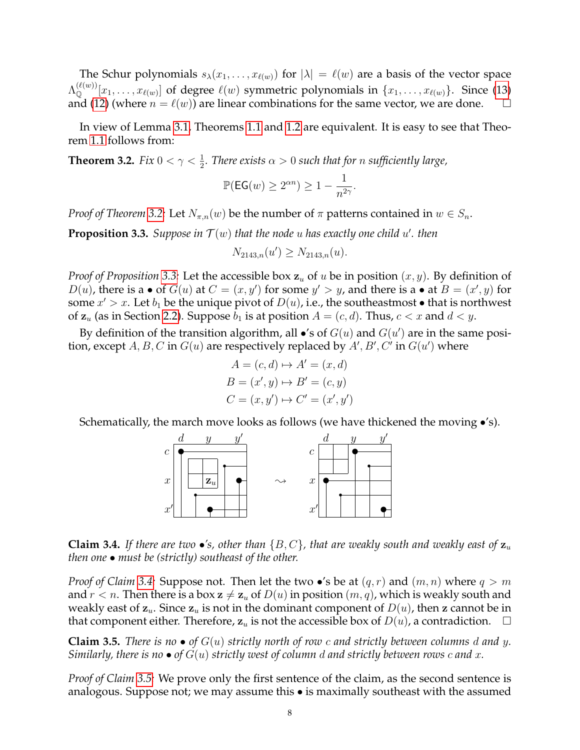The Schur polynomials  $s_{\lambda}(x_1, \ldots, x_{\ell(w)})$  for  $|\lambda| = \ell(w)$  are a basis of the vector space  $\Lambda^{(\ell(w))}_\mathbb{Q}[x_1,\ldots,x_{\ell(w)}]$  of degree  $\ell(w)$  symmetric polynomials in  $\{x_1,\ldots,x_{\ell(w)}\}$ . Since [\(13\)](#page-6-6) and [\(12\)](#page-6-5) (where  $n = \ell(w)$ ) are linear combinations for the same vector, we are done.  $\square$ 

In view of Lemma [3.1,](#page-6-0) Theorems [1.1](#page-1-0) and [1.2](#page-1-2) are equivalent. It is easy to see that Theorem [1.1](#page-1-0) follows from:

<span id="page-7-0"></span>**Theorem 3.2.** *Fix*  $0 < \gamma < \frac{1}{2}$ *. There exists*  $\alpha > 0$  *such that for n sufficiently large*,

$$
\mathbb{P}(\textsf{EG}(w) \geq 2^{\alpha n}) \geq 1 - \frac{1}{n^{2\gamma}}.
$$

*Proof of Theorem* [3.2:](#page-7-0) Let  $N_{\pi,n}(w)$  be the number of  $\pi$  patterns contained in  $w \in S_n$ .

<span id="page-7-1"></span>**Proposition 3.3.** Suppose in  $T(w)$  that the node u has exactly one child  $u'$ . then

$$
N_{2143,n}(u') \geq N_{2143,n}(u).
$$

*Proof of Proposition* [3.3:](#page-7-1) Let the accessible box  $z<sub>u</sub>$  of u be in position  $(x, y)$ . By definition of  $D(u)$ , there is a • of  $G(u)$  at  $C = (x, y')$  for some  $y' > y$ , and there is a • at  $B = (x', y)$  for some  $x' > x$ . Let  $b_1$  be the unique pivot of  $D(u)$ , i.e., the southeastmost  $\bullet$  that is northwest of  $z_u$  (as in Section [2.2\)](#page-4-0). Suppose  $b_1$  is at position  $A = (c, d)$ . Thus,  $c < x$  and  $d < y$ .

By definition of the transition algorithm, all  $\bullet$ 's of  $G(u)$  and  $G(u')$  are in the same position, except  $A, B, C$  in  $G(u)$  are respectively replaced by  $A', B', C'$  in  $G(u')$  where

$$
A = (c, d) \mapsto A' = (x, d)
$$
  

$$
B = (x', y) \mapsto B' = (c, y)
$$
  

$$
C = (x, y') \mapsto C' = (x', y')
$$

Schematically, the march move looks as follows (we have thickened the moving  $\bullet$ 's).



<span id="page-7-2"></span>**Claim 3.4.** *If there are two*  $\bullet$ *'s, other than*  $\{B, C\}$ *, that are weakly south and weakly east of*  $\mathbf{z}_u$ *then one* • *must be (strictly) southeast of the other.*

*Proof of Claim* [3.4:](#page-7-2) Suppose not. Then let the two  $\bullet$ 's be at  $(q, r)$  and  $(m, n)$  where  $q > m$ and  $r < n$ . Then there is a box  $z \neq z_u$  of  $D(u)$  in position  $(m, q)$ , which is weakly south and weakly east of  $z_u$ . Since  $z_u$  is not in the dominant component of  $D(u)$ , then z cannot be in that component either. Therefore,  $z_u$  is not the accessible box of  $D(u)$ , a contradiction.  $\Box$ 

<span id="page-7-3"></span>**Claim 3.5.** *There is no*  $\bullet$  *of*  $G(u)$  *strictly north of row c and strictly between columns d and y. Similarly, there is no* • *of* G(u) *strictly west of column* d *and strictly between rows* c *and* x*.*

*Proof of Claim [3.5:](#page-7-3)* We prove only the first sentence of the claim, as the second sentence is analogous. Suppose not; we may assume this • is maximally southeast with the assumed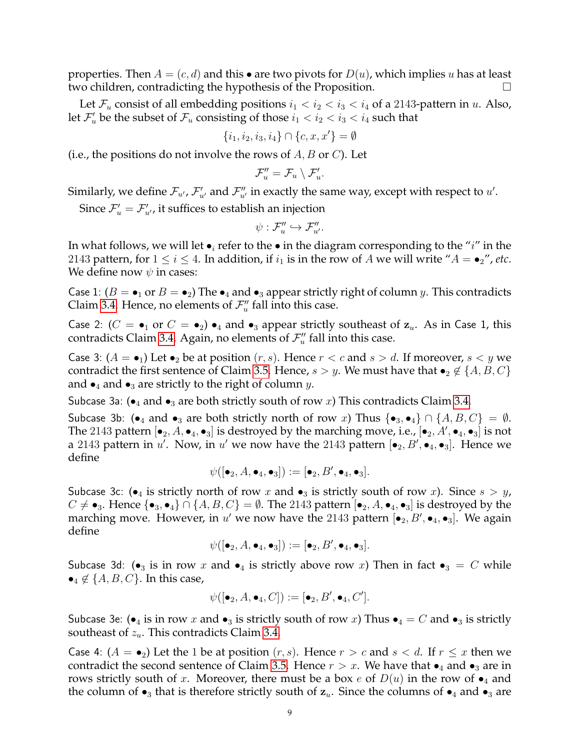properties. Then  $A = (c, d)$  and this • are two pivots for  $D(u)$ , which implies u has at least two children, contradicting the hypothesis of the Proposition.

Let  $\mathcal{F}_u$  consist of all embedding positions  $i_1 < i_2 < i_3 < i_4$  of a 2143-pattern in u. Also, let  $\mathcal{F}'_u$  be the subset of  $\mathcal{F}_u$  consisting of those  $i_1 < i_2 < i_3 < i_4$  such that

$$
\{i_1, i_2, i_3, i_4\} \cap \{c, x, x'\} = \emptyset
$$

(i.e., the positions do not involve the rows of  $A, B$  or  $C$ ). Let

$$
\mathcal{F}_u'' = \mathcal{F}_u \setminus \mathcal{F}_u'.
$$

Similarly, we define  $\mathcal{F}_{u'}$ ,  $\mathcal{F}'_{u'}$  and  $\mathcal{F}''_{u'}$  in exactly the same way, except with respect to  $u'.$ 

Since  $\mathcal{F}'_u = \mathcal{F}'_{u'}$ , it suffices to establish an injection

$$
\psi: \mathcal{F}_u'' \hookrightarrow \mathcal{F}_{u'}''.
$$

In what follows, we will let  $\bullet_i$  refer to the  $\bullet$  in the diagram corresponding to the "i" in the 2143 pattern, for  $1 \le i \le 4$ . In addition, if  $i_1$  is in the row of A we will write " $A = \bullet_2$ ", etc. We define now  $\psi$  in cases:

Case 1:  $(B = \bullet_1 \text{ or } B = \bullet_2)$  The  $\bullet_4$  and  $\bullet_3$  appear strictly right of column y. This contradicts Claim [3.4.](#page-7-2) Hence, no elements of  $\mathcal{F}''_u$  fall into this case.

Case 2:  $(C = \bullet_1 \text{ or } C = \bullet_2) \bullet_4$  and  $\bullet_3$  appear strictly southeast of  $z_u$ . As in Case 1, this contradicts Claim [3.4.](#page-7-2) Again, no elements of  $\mathcal{F}''_u$  fall into this case.

Case 3:  $(A = \bullet_1)$  Let  $\bullet_2$  be at position  $(r, s)$ . Hence  $r < c$  and  $s > d$ . If moreover,  $s < y$  we contradict the first sentence of Claim [3.5.](#page-7-3) Hence,  $s > y$ . We must have that  $\bullet_2 \notin \{A, B, C\}$ and  $\bullet_4$  and  $\bullet_3$  are strictly to the right of column y.

Subcase 3a:  $\bullet_4$  and  $\bullet_3$  are both strictly south of row x) This contradicts Claim [3.4.](#page-7-2)

Subcase 3b: (•<sub>4</sub> and •<sub>3</sub> are both strictly north of row x) Thus {•<sub>3</sub>,•<sub>4</sub>}  $\cap$  { $A, B, C$ } =  $\emptyset$ . The 2143 pattern  $[\bullet_2, A, \bullet_4, \bullet_3]$  is destroyed by the marching move, i.e.,  $[\bullet_2, A', \bullet_4, \bullet_3]$  is not a 2143 pattern in u'. Now, in u' we now have the 2143 pattern  $[\bullet_2, B', \bullet_4, \bullet_3]$ . Hence we define

$$
\psi([\bullet_2, A, \bullet_4, \bullet_3]):=[\bullet_2, B', \bullet_4, \bullet_3].
$$

Subcase 3c: ( $\bullet$ <sub>4</sub> is strictly north of row x and  $\bullet$ <sub>3</sub> is strictly south of row x). Since  $s > y$ ,  $C \neq \bullet_3$ . Hence  $\{\bullet_3, \bullet_4\} \cap \{A, B, C\} = \emptyset$ . The 2143 pattern  $[\bullet_2, A, \bullet_4, \bullet_3]$  is destroyed by the marching move. However, in u' we now have the 2143 pattern  $[\bullet_2, B', \bullet_4, \bullet_3]$ . We again define

$$
\psi([\bullet_2, A, \bullet_4, \bullet_3]):=[\bullet_2, B', \bullet_4, \bullet_3].
$$

Subcase 3d: ( $\bullet_3$  is in row x and  $\bullet_4$  is strictly above row x) Then in fact  $\bullet_3 = C$  while  $\bullet_4 \notin \{A, B, C\}$ . In this case,

$$
\psi([\bullet_2, A, \bullet_4, C]) := [\bullet_2, B', \bullet_4, C'].
$$

Subcase 3e: ( $\bullet_4$  is in row x and  $\bullet_3$  is strictly south of row x) Thus  $\bullet_4 = C$  and  $\bullet_3$  is strictly southeast of  $z_u$ . This contradicts Claim [3.4.](#page-7-2)

Case 4:  $(A = \bullet_2)$  Let the 1 be at position  $(r, s)$ . Hence  $r > c$  and  $s < d$ . If  $r \leq x$  then we contradict the second sentence of Claim [3.5.](#page-7-3) Hence  $r > x$ . We have that  $\bullet_4$  and  $\bullet_3$  are in rows strictly south of x. Moreover, there must be a box e of  $D(u)$  in the row of  $\bullet$ <sub>4</sub> and the column of  $\bullet_3$  that is therefore strictly south of  $z_u$ . Since the columns of  $\bullet_4$  and  $\bullet_3$  are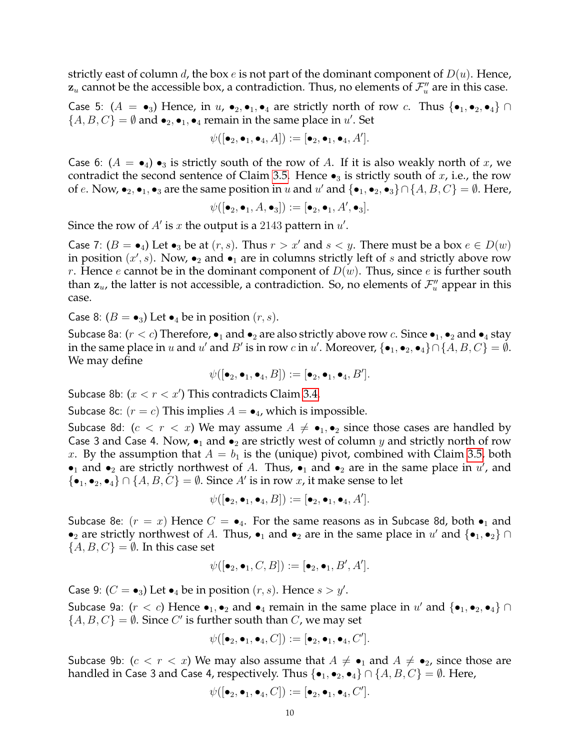strictly east of column d, the box  $e$  is not part of the dominant component of  $D(u)$ . Hence,  $\mathbf{z}_u$  cannot be the accessible box, a contradiction. Thus, no elements of  $\mathcal{F}''_u$  are in this case.

Case 5:  $(A = \bullet_3)$  Hence, in  $u$ ,  $\bullet_2, \bullet_1, \bullet_4$  are strictly north of row c. Thus  $\{\bullet_1, \bullet_2, \bullet_4\}$  $\{A, B, C\} = \emptyset$  and  $\bullet_2, \bullet_1, \bullet_4$  remain in the same place in  $u'$ . Set

$$
\psi([\bullet_2,\bullet_1,\bullet_4,A]):=[\bullet_2,\bullet_1,\bullet_4,A'].
$$

Case 6:  $(A = \bullet_4) \bullet_3$  is strictly south of the row of A. If it is also weakly north of x, we contradict the second sentence of Claim [3.5.](#page-7-3) Hence  $\bullet_3$  is strictly south of x, i.e., the row of e. Now,  $\bullet_2$ ,  $\bullet_1$ ,  $\bullet_3$  are the same position in u and u' and  $\{\bullet_1, \bullet_2, \bullet_3\} \cap \{A, B, C\} = \emptyset$ . Here,

$$
\psi([\bullet_2,\bullet_1,A,\bullet_3]):=[\bullet_2,\bullet_1,A',\bullet_3].
$$

Since the row of  $A'$  is  $x$  the output is a 2143 pattern in  $u'$ .

Case 7:  $(B = \bullet_4)$  Let  $\bullet_3$  be at  $(r, s)$ . Thus  $r > x'$  and  $s < y$ . There must be a box  $e \in D(w)$ in position  $(x', s)$ . Now,  $\bullet_2$  and  $\bullet_1$  are in columns strictly left of s and strictly above row r. Hence e cannot be in the dominant component of  $D(w)$ . Thus, since e is further south than  $z_u$ , the latter is not accessible, a contradiction. So, no elements of  $\mathcal{F}''_u$  appear in this case.

Case 8:  $(B = \bullet_3)$  Let  $\bullet_4$  be in position  $(r, s)$ .

Subcase 8a:  $(r < c)$  Therefore,  $\bullet_1$  and  $\bullet_2$  are also strictly above row c. Since  $\bullet_1$ ,  $\bullet_2$  and  $\bullet_4$  stay in the same place in u and u' and B' is in row c in u'. Moreover,  $\{\bullet_1, \bullet_2, \bullet_4\} \cap \{A, B, C\} = \emptyset$ . We may define

 $\psi([\bullet_2,\bullet_1,\bullet_4,B]):=[\bullet_2,\bullet_1,\bullet_4,B'].$ 

Subcase 8b:  $(x < r < x')$  This contradicts Claim [3.4.](#page-7-2)

Subcase 8c:  $(r = c)$  This implies  $A = \bullet_4$ , which is impossible.

Subcase 8d:  $(c < r < x)$  We may assume  $A \neq \bullet_1, \bullet_2$  since those cases are handled by Case 3 and Case 4. Now,  $\bullet_1$  and  $\bullet_2$  are strictly west of column y and strictly north of row x. By the assumption that  $A = b_1$  is the (unique) pivot, combined with Claim [3.5,](#page-7-3) both • 1 and • 2 are strictly northwest of A. Thus, • 1 and • 2 are in the same place in  $u'$ , and  $\{\bullet_1, \bullet_2, \bullet_4\} \cap \{A, B, C\} = \emptyset$ . Since A' is in row x, it make sense to let

$$
\psi([\bullet_2,\bullet_1,\bullet_4,B]):=[\bullet_2,\bullet_1,\bullet_4,A'].
$$

Subcase 8e:  $(r = x)$  Hence  $C = \bullet_4$ . For the same reasons as in Subcase 8d, both  $\bullet_1$  and •<sub>2</sub> are strictly northwest of A. Thus, •<sub>1</sub> and •<sub>2</sub> are in the same place in u' and {•<sub>1</sub>, •<sub>2</sub>} ∩  ${A, B, C} = \emptyset$ . In this case set

$$
\psi([\bullet_2,\bullet_1, C, B]):=[\bullet_2,\bullet_1, B', A'].
$$

Case 9: ( $C = \bullet_3$ ) Let  $\bullet_4$  be in position  $(r, s)$ . Hence  $s > y'$ .

Subcase 9a:  $(r < c)$  Hence  $\bullet_1, \bullet_2$  and  $\bullet_4$  remain in the same place in  $u'$  and  $\{\bullet_1, \bullet_2, \bullet_4\}$   $\cap$  $\{A, B, C\} = \emptyset$ . Since C' is further south than C, we may set

$$
\psi([\bullet_2,\bullet_1,\bullet_4,C]):=[\bullet_2,\bullet_1,\bullet_4,C'].
$$

Subcase 9b:  $(c < r < x)$  We may also assume that  $A \neq \bullet_1$  and  $A \neq \bullet_2$ , since those are handled in Case 3 and Case 4, respectively. Thus  $\{\bullet_1, \bullet_2, \bullet_4\} \cap \{A, B, C\} = \emptyset$ . Here,

$$
\psi([\bullet_2,\bullet_1,\bullet_4,C]):=[\bullet_2,\bullet_1,\bullet_4,C'].
$$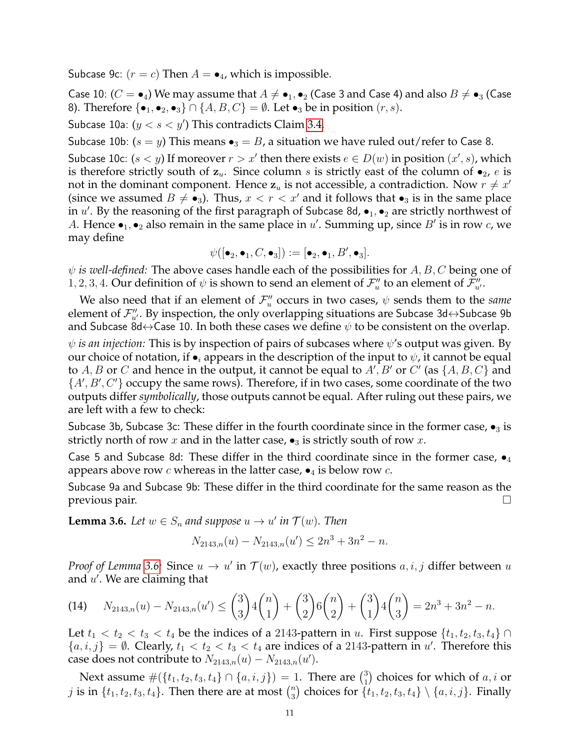Subcase 9c:  $(r = c)$  Then  $A = \bullet_4$ , which is impossible.

Case 10:  $(C = \bullet_4)$  We may assume that  $A \neq \bullet_1, \bullet_2$  (Case 3 and Case 4) and also  $B \neq \bullet_3$  (Case 8). Therefore  $\{\bullet_1, \bullet_2, \bullet_3\} \cap \{A, B, C\} = \emptyset$ . Let  $\bullet_3$  be in position  $(r, s)$ .

Subcase 10a:  $(y < s < y')$  This contradicts Claim [3.4.](#page-7-2)

Subcase 10b:  $(s = y)$  This means  $\bullet_3 = B$ , a situation we have ruled out/refer to Case 8.

Subcase 10c:  $(s < y)$  If moreover  $r > x'$  then there exists  $e \in D(w)$  in position  $(x', s)$ , which is therefore strictly south of  $z_u$ . Since column s is strictly east of the column of  $\bullet_{2}$ , e is not in the dominant component. Hence  $\mathbf{z}_u$  is not accessible, a contradiction. Now  $r \neq x'$ (since we assumed  $B \neq \bullet_3$ ). Thus,  $x < r < x'$  and it follows that  $\bullet_3$  is in the same place in u'. By the reasoning of the first paragraph of Subcase 8d,  $\bullet_1, \bullet_2$  are strictly northwest of A. Hence  $\bullet_1, \bullet_2$  also remain in the same place in u'. Summing up, since B' is in row c, we may define

$$
\psi([\bullet_2,\bullet_1, C, \bullet_3]):=[\bullet_2,\bullet_1, B', \bullet_3].
$$

 $\psi$  *is well-defined:* The above cases handle each of the possibilities for A, B, C being one of 1, 2, 3, 4. Our definition of  $\psi$  is shown to send an element of  $\mathcal{F}''_u$  to an element of  $\mathcal{F}''_u$ .

We also need that if an element of  $\mathcal{F}''_u$  occurs in two cases,  $\psi$  sends them to the *same* element of  $\mathcal{F}''_{u'}$ . By inspection, the only overlapping situations are Subcase 3d $\leftrightarrow$ Subcase 9b and Subcase 8d $\leftrightarrow$ Case 10. In both these cases we define  $\psi$  to be consistent on the overlap.

 $\psi$  *is an injection:* This is by inspection of pairs of subcases where  $\psi$ 's output was given. By our choice of notation, if  $\bullet_i$  appears in the description of the input to  $\psi$ , it cannot be equal to  $A, B$  or  $C$  and hence in the output, it cannot be equal to  $A', B'$  or  $C'$  (as  $\{A, B, C\}$  and  $\{A', B', C'\}$  occupy the same rows). Therefore, if in two cases, some coordinate of the two outputs differ *symbolically*, those outputs cannot be equal. After ruling out these pairs, we are left with a few to check:

Subcase 3b, Subcase 3c: These differ in the fourth coordinate since in the former case,  $\bullet_3$  is strictly north of row x and in the latter case,  $\bullet_3$  is strictly south of row x.

Case 5 and Subcase 8d: These differ in the third coordinate since in the former case,  $\bullet_4$ appears above row c whereas in the latter case,  $\bullet$ <sub>4</sub> is below row c.

Subcase 9a and Subcase 9b: These differ in the third coordinate for the same reason as the previous pair.

<span id="page-10-0"></span>**Lemma 3.6.** Let  $w \in S_n$  and suppose  $u \to u'$  in  $\mathcal{T}(w)$ . Then

$$
N_{2143,n}(u) - N_{2143,n}(u') \le 2n^3 + 3n^2 - n.
$$

*Proof of Lemma* [3.6:](#page-10-0) Since  $u \to u'$  in  $\mathcal{T}(w)$ , exactly three positions  $a, i, j$  differ between  $u$ and  $u'$ . We are claiming that

<span id="page-10-1"></span>(14) 
$$
N_{2143,n}(u) - N_{2143,n}(u') \leq {3 \choose 3} 4 {n \choose 1} + {3 \choose 2} 6 {n \choose 2} + {3 \choose 1} 4 {n \choose 3} = 2n^3 + 3n^2 - n.
$$

Let  $t_1 < t_2 < t_3 < t_4$  be the indices of a 2143-pattern in u. First suppose  $\{t_1, t_2, t_3, t_4\} \cap$  ${a, i, j} = \emptyset$ . Clearly,  $t_1 < t_2 < t_3 < t_4$  are indices of a 2143-pattern in u'. Therefore this case does not contribute to  $N_{2143,n}(u) - N_{2143,n}(u')$ .

Next assume  $\#(\{t_1, t_2, t_3, t_4\} \cap \{a, i, j\}) = 1$ . There are  $\binom{3}{1}$  $\binom{3}{1}$  choices for which of  $a, i$  or *j* is in  $\{t_1, t_2, t_3, t_4\}$ . Then there are at most  $\binom{n}{3}$  $\binom{n}{3}$  choices for  $\{t_1, t_2, t_3, t_4\} \setminus \{a, i, j\}$ . Finally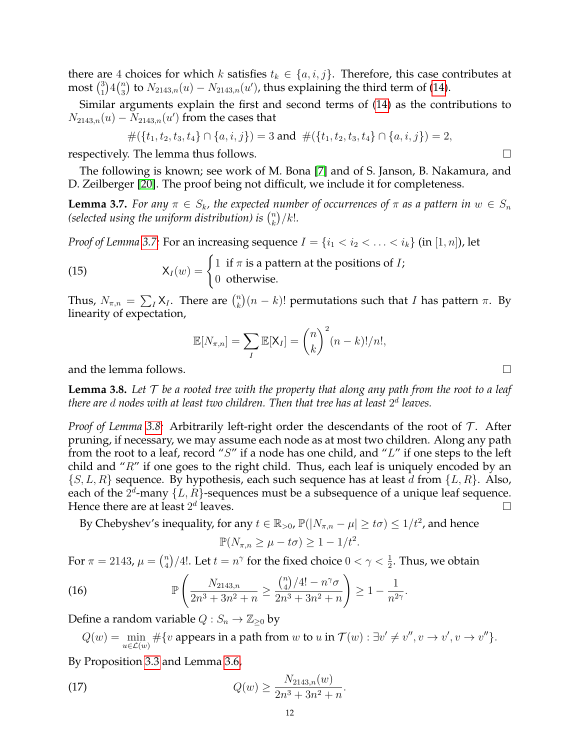there are 4 choices for which k satisfies  $t_k \in \{a, i, j\}$ . Therefore, this case contributes at most  $\binom{3}{1}$  $_{1}^{3}\big)4\binom{n}{3}$  $\mathbb{Z}_3^n$ ) to  $N_{2143,n}(u)-N_{2143,n}(u')$ , thus explaining the third term of [\(14\)](#page-10-1).

Similar arguments explain the first and second terms of [\(14\)](#page-10-1) as the contributions to  $N_{2143,n}(u) - N_{2143,n}(u')$  from the cases that

$$
#({t1, t2, t3, t4} \cap {a, i, j}) = 3 \text{ and } #({t1, t2, t3, t4} \cap {a, i, j}) = 2,
$$

respectively. The lemma thus follows.  $\square$ 

The following is known; see work of M. Bona [\[7\]](#page-21-19) and of S. Janson, B. Nakamura, and D. Zeilberger [\[20\]](#page-21-20). The proof being not difficult, we include it for completeness.

<span id="page-11-0"></span>**Lemma 3.7.** *For any*  $\pi \in S_k$ , the expected number of occurrences of  $\pi$  as a pattern in  $w \in S_n$ (selected using the uniform distribution) is  $\binom{n}{k}$  $\binom{n}{k}/k!$ .

*Proof of Lemma* [3.7:](#page-11-0) For an increasing sequence  $I = \{i_1 < i_2 < \ldots < i_k\}$  (in  $[1, n]$ ), let

(15) 
$$
X_I(w) = \begin{cases} 1 & \text{if } \pi \text{ is a pattern at the positions of } I; \\ 0 & \text{otherwise.} \end{cases}
$$

Thus,  $N_{\pi,n} = \sum_{I} X_I$ . There are  $\binom{n}{k}$  $\binom{n}{k}(n-k)!$  permutations such that I has pattern  $\pi$ . By linearity of expectation,

$$
\mathbb{E}[N_{\pi,n}] = \sum_{I} \mathbb{E}[X_I] = {n \choose k}^2 (n-k)!/n!,
$$

and the lemma follows.  $\Box$ 

<span id="page-11-1"></span>**Lemma 3.8.** *Let* T *be a rooted tree with the property that along any path from the root to a leaf there are* d *nodes with at least two children. Then that tree has at least* 2 d *leaves.*

*Proof of Lemma* [3.8:](#page-11-1) Arbitrarily left-right order the descendants of the root of T. After pruning, if necessary, we may assume each node as at most two children. Along any path from the root to a leaf, record "S" if a node has one child, and " $L$ " if one steps to the left child and " $R$ " if one goes to the right child. Thus, each leaf is uniquely encoded by an  $\{S, L, R\}$  sequence. By hypothesis, each such sequence has at least d from  $\{L, R\}$ . Also, each of the  $2^d$ -many  $\{L, R\}$ -sequences must be a subsequence of a unique leaf sequence. Hence there are at least  $2^d$  $l$ eaves.

By Chebyshev's inequality, for any  $t \in \mathbb{R}_{>0}$ ,  $\mathbb{P}(|N_{\pi,n} - \mu| \geq t\sigma) \leq 1/t^2$ , and hence

<span id="page-11-3"></span><span id="page-11-2"></span>
$$
\mathbb{P}(N_{\pi,n} \ge \mu - t\sigma) \ge 1 - 1/t^2.
$$

For  $\pi = 2143$ ,  $\mu = \binom{n}{4}$  $\binom{n}{4}/4!$ . Let  $t=n^\gamma$  for the fixed choice  $0<\gamma<\frac{1}{2}.$  Thus, we obtain

(16) 
$$
\mathbb{P}\left(\frac{N_{2143,n}}{2n^3+3n^2+n} \ge \frac{{n \choose 4}/4! - n^{\gamma}\sigma}{2n^3+3n^2+n}\right) \ge 1 - \frac{1}{n^{2\gamma}}.
$$

Define a random variable  $Q: S_n \to \mathbb{Z}_{\geq 0}$  by

 $Q(w) = \min_{u \in \mathcal{L}(w)} \#\{v \text{ appears in a path from } w \text{ to } u \text{ in } \mathcal{T}(w) : \exists v' \neq v'', v \rightarrow v', v \rightarrow v''\}.$ 

By Proposition [3.3](#page-7-1) and Lemma [3.6,](#page-10-0)

(17) 
$$
Q(w) \ge \frac{N_{2143,n}(w)}{2n^3 + 3n^2 + n}.
$$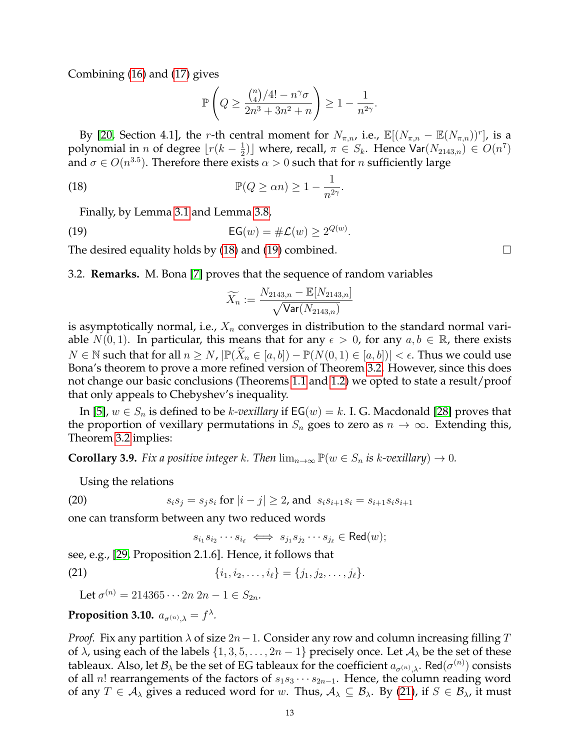Combining [\(16\)](#page-11-2) and [\(17\)](#page-11-3) gives

<span id="page-12-0"></span>
$$
\mathbb{P}\left(Q \ge \frac{{n \choose 4}/4! - n^{\gamma}\sigma}{2n^3 + 3n^2 + n}\right) \ge 1 - \frac{1}{n^{2\gamma}}.
$$

By [\[20,](#page-21-20) Section 4.1], the r-th central moment for  $N_{\pi,n}$ , i.e.,  $\mathbb{E}[(N_{\pi,n} - \mathbb{E}(N_{\pi,n}))^r]$ , is a polynomial in *n* of degree  $\lfloor r(k - \frac{1}{2}) \rfloor$  $\frac{1}{2}$ ) where, recall,  $\pi \in S_k$ . Hence Var $(N_{2143,n}) \in O(n^7)$ and  $\sigma \in O(n^{3.5})$ . Therefore there exists  $\alpha > 0$  such that for n sufficiently large

(18) 
$$
\mathbb{P}(Q \ge \alpha n) \ge 1 - \frac{1}{n^{2\gamma}}.
$$

Finally, by Lemma [3.1](#page-6-0) and Lemma [3.8,](#page-11-1)

$$
\mathsf{EG}(w) = \#\mathcal{L}(w) \ge 2^{Q(w)}.
$$

The desired equality holds by [\(18\)](#page-12-0) and [\(19\)](#page-12-1) combined.  $\Box$ 

3.2. **Remarks.** M. Bona [\[7\]](#page-21-19) proves that the sequence of random variables

<span id="page-12-1"></span>
$$
\widetilde{X_n} := \frac{N_{2143,n} - \mathbb{E}[N_{2143,n}]}{\sqrt{\text{Var}(N_{2143,n})}}
$$

is asymptotically normal, i.e.,  $X_n$  converges in distribution to the standard normal variable  $N(0, 1)$ . In particular, this means that for any  $\epsilon > 0$ , for any  $a, b \in \mathbb{R}$ , there exists  $N \in \mathbb{N}$  such that for all  $n \ge N$ ,  $\left| \mathbb{P}(X_n \in [a, b]) - \mathbb{P}(N(0, 1) \in [a, b]) \right| < \epsilon$ . Thus we could use Bona's theorem to prove a more refined version of Theorem [3.2.](#page-7-0) However, since this does not change our basic conclusions (Theorems [1.1](#page-1-0) and [1.2\)](#page-1-2) we opted to state a result/proof that only appeals to Chebyshev's inequality.

In [\[5\]](#page-21-3),  $w \in S_n$  is defined to be *k-vexillary* if  $EG(w) = k$ . I. G. Macdonald [\[28\]](#page-22-9) proves that the proportion of vexillary permutations in  $S_n$  goes to zero as  $n \to \infty$ . Extending this, Theorem [3.2](#page-7-0) implies:

**Corollary 3.9.** *Fix a positive integer* k. Then  $\lim_{n\to\infty} \mathbb{P}(w \in S_n$  *is k-vexillary*)  $\to 0$ *.* 

Using the relations

(20) 
$$
s_i s_j = s_j s_i \text{ for } |i - j| \ge 2 \text{, and } s_i s_{i+1} s_i = s_{i+1} s_i s_{i+1}
$$

one can transform between any two reduced words

<span id="page-12-2"></span> $s_{i_1}s_{i_2}\cdots s_{i_\ell} \iff s_{j_1}s_{j_2}\cdots s_{j_\ell} \in \text{Red}(w);$ 

see, e.g., [\[29,](#page-22-1) Proposition 2.1.6]. Hence, it follows that

(21) 
$$
\{i_1, i_2, \ldots, i_\ell\} = \{j_1, j_2, \ldots, j_\ell\}.
$$

Let  $\sigma^{(n)} = 214365 \cdots 2n \ 2n - 1 \in S_{2n}$ .

# <span id="page-12-3"></span>Proposition 3.10.  $a_{\sigma^{(n)},\lambda} = f^{\lambda}$ .

*Proof.* Fix any partition  $\lambda$  of size  $2n-1$ . Consider any row and column increasing filling T of  $\lambda$ , using each of the labels  $\{1, 3, 5, \ldots, 2n-1\}$  precisely once. Let  $\mathcal{A}_{\lambda}$  be the set of these tableaux. Also, let  $\mathcal{B}_\lambda$  be the set of EG tableaux for the coefficient  $a_{\sigma^{(n)},\lambda}.$  Red $(\sigma^{(n)})$  consists of all n! rearrangements of the factors of  $s_1s_3\cdots s_{2n-1}$ . Hence, the column reading word of any  $T \in A_\lambda$  gives a reduced word for w. Thus,  $A_\lambda \subseteq B_\lambda$ . By [\(21\)](#page-12-2), if  $S \in B_\lambda$ , it must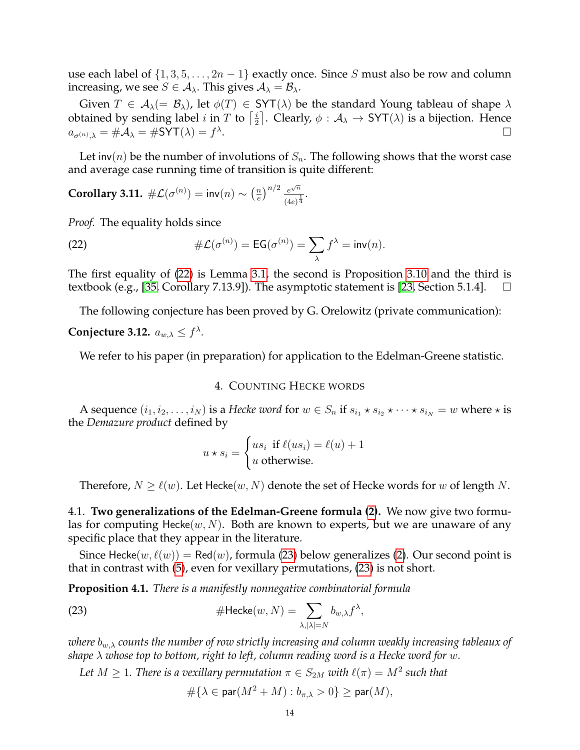use each label of  $\{1, 3, 5, \ldots, 2n-1\}$  exactly once. Since S must also be row and column increasing, we see  $S \in A_{\lambda}$ . This gives  $A_{\lambda} = B_{\lambda}$ .

Given  $T \in A_\lambda (= \mathcal{B}_\lambda)$ , let  $\phi(T) \in SYT(\lambda)$  be the standard Young tableau of shape  $\lambda$ obtained by sending label *i* in *T* to  $\left[\frac{i}{2}\right]$  $\frac{i}{2}$ ]. Clearly,  $\phi : \mathcal{A}_{\lambda} \to \text{SYT}(\lambda)$  is a bijection. Hence  $a_{\sigma^{(n)},\lambda} = \# \mathcal{A}_\lambda = \# \mathsf{SYT}(\lambda) = f^\lambda$ .

Let inv(n) be the number of involutions of  $S_n$ . The following shows that the worst case and average case running time of transition is quite different:

**Corollary 3.11.**  $\#\mathcal{L}(\sigma^{(n)}) = \text{inv}(n) \sim \left(\frac{n}{e}\right)$  $\left(\frac{m}{e}\right)^{n/2} \frac{e^{\sqrt{n}}}{\left(\frac{4e}{e}\right)^{\frac{3}{2}}}$  $\frac{e^{\sqrt{n}}}{(4e)^{\frac{1}{4}}}.$ 

*Proof.* The equality holds since

<span id="page-13-1"></span>(22) 
$$
\#\mathcal{L}(\sigma^{(n)}) = \mathsf{EG}(\sigma^{(n)}) = \sum_{\lambda} f^{\lambda} = \mathsf{inv}(n).
$$

The first equality of [\(22\)](#page-13-1) is Lemma [3.1,](#page-6-0) the second is Proposition [3.10](#page-12-3) and the third is textbook (e.g., [\[35,](#page-22-10) Corollary 7.13.9]). The asymptotic statement is [\[23,](#page-21-21) Section 5.1.4].  $\Box$ 

The following conjecture has been proved by G. Orelowitz (private communication):

# **Conjecture 3.12.**  $a_{w,\lambda} \leq f^{\lambda}$ .

<span id="page-13-0"></span>We refer to his paper (in preparation) for application to the Edelman-Greene statistic.

#### 4. COUNTING HECKE WORDS

A sequence  $(i_1, i_2, \ldots, i_N)$  is a *Hecke word* for  $w \in S_n$  if  $s_{i_1} \star s_{i_2} \star \cdots \star s_{i_N} = w$  where  $\star$  is the *Demazure product* defined by

$$
u * s_i = \begin{cases} us_i & \text{if } \ell(us_i) = \ell(u) + 1\\ u & \text{otherwise.} \end{cases}
$$

Therefore,  $N \geq \ell(w)$ . Let Hecke $(w, N)$  denote the set of Hecke words for w of length N.

4.1. **Two generalizations of the Edelman-Greene formula [\(2\)](#page-0-0).** We now give two formulas for computing Hecke $(w, N)$ . Both are known to experts, but we are unaware of any specific place that they appear in the literature.

Since Hecke $(w, \ell(w)) = \text{Red}(w)$ , formula [\(23\)](#page-13-2) below generalizes [\(2\)](#page-0-0). Our second point is that in contrast with [\(5\)](#page-1-3), even for vexillary permutations, [\(23\)](#page-13-2) is not short.

<span id="page-13-3"></span>**Proposition 4.1.** *There is a manifestly nonnegative combinatorial formula*

(23) 
$$
\# \text{Hecke}(w, N) = \sum_{\lambda, |\lambda| = N} b_{w,\lambda} f^{\lambda},
$$

*where*  $b_{w,\lambda}$  *counts the number of row strictly increasing and column weakly increasing tableaux of shape* λ *whose top to bottom, right to left, column reading word is a Hecke word for* w*.*

*Let*  $M \geq 1$ *. There is a vexillary permutation*  $\pi \in S_{2M}$  *with*  $\ell(\pi) = M^2$  *such that* 

<span id="page-13-2"></span>
$$
\# \{ \lambda \in \mathsf{par}(M^2+M): b_{\pi, \lambda}>0\} \geq \mathsf{par}(M),
$$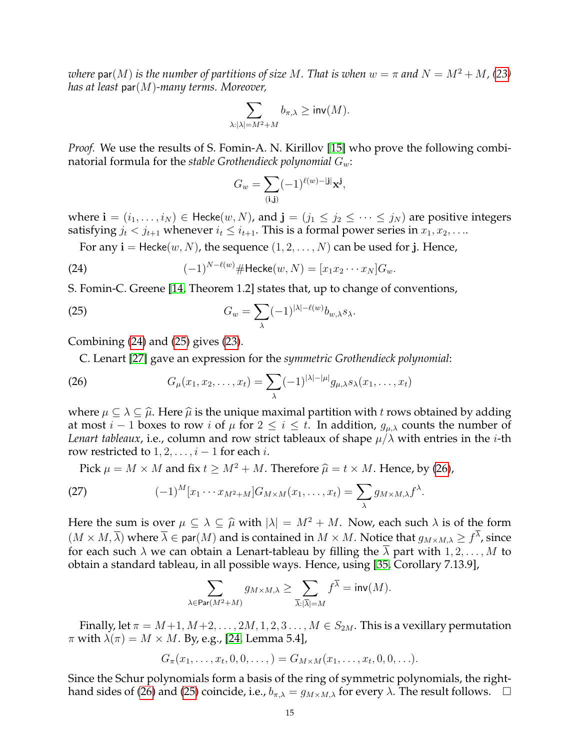*where*  $\text{par}(M)$  *is the number of partitions of size* M. That *is when*  $w = \pi$  and  $N = M^2 + M$ , [\(23\)](#page-13-2) *has at least* par(M)*-many terms. Moreover,*

$$
\sum_{\lambda: |\lambda|=M^2+M} b_{\pi,\lambda} \geq \mathsf{inv}(M).
$$

*Proof.* We use the results of S. Fomin-A. N. Kirillov [\[15\]](#page-21-8) who prove the following combinatorial formula for the *stable Grothendieck polynomial* Gw:

<span id="page-14-1"></span><span id="page-14-0"></span>
$$
G_w = \sum_{(\mathbf{i}, \mathbf{j})} (-1)^{\ell(w) - |\mathbf{j}|} \mathbf{x}^{\mathbf{j}},
$$

where  $\mathbf{i} = (i_1, \ldots, i_N) \in \text{Hecke}(w, N)$ , and  $\mathbf{j} = (j_1 \leq j_2 \leq \cdots \leq j_N)$  are positive integers satisfying  $j_t < j_{t+1}$  whenever  $i_t \leq i_{t+1}$ . This is a formal power series in  $x_1, x_2, \ldots$ 

For any  $i =$  Hecke $(w, N)$ , the sequence  $(1, 2, ..., N)$  can be used for j. Hence,

(24) 
$$
(-1)^{N-\ell(w)} \# \text{Hecke}(w, N) = [x_1 x_2 \cdots x_N] G_w.
$$

S. Fomin-C. Greene [\[14,](#page-21-9) Theorem 1.2] states that, up to change of conventions,

(25) 
$$
G_w = \sum_{\lambda} (-1)^{|\lambda| - \ell(w)} b_{w,\lambda} s_{\lambda}.
$$

Combining [\(24\)](#page-14-0) and [\(25\)](#page-14-1) gives [\(23\)](#page-13-2).

<span id="page-14-2"></span>C. Lenart [\[27\]](#page-22-7) gave an expression for the *symmetric Grothendieck polynomial*:

(26) 
$$
G_{\mu}(x_1,x_2,\ldots,x_t)=\sum_{\lambda}(-1)^{|\lambda|-|\mu|}g_{\mu,\lambda}s_{\lambda}(x_1,\ldots,x_t)
$$

where  $\mu \subseteq \lambda \subseteq \hat{\mu}$ . Here  $\hat{\mu}$  is the unique maximal partition with t rows obtained by adding at most  $i - 1$  boxes to row i of  $\mu$  for  $2 \le i \le t$ . In addition,  $g_{\mu,\lambda}$  counts the number of *Lenart tableaux*, i.e., column and row strict tableaux of shape  $\mu/\lambda$  with entries in the *i*-th row restricted to  $1, 2, \ldots, i-1$  for each *i*.

Pick  $\mu = M \times M$  and fix  $t \ge M^2 + M$ . Therefore  $\hat{\mu} = t \times M$ . Hence, by [\(26\)](#page-14-2),

(27) 
$$
(-1)^M [x_1 \cdots x_{M^2+M}] G_{M \times M}(x_1, \ldots, x_t) = \sum_{\lambda} g_{M \times M, \lambda} f^{\lambda}.
$$

Here the sum is over  $\mu \subseteq \lambda \subseteq \hat{\mu}$  with  $|\lambda| = M^2 + M$ . Now, each such  $\lambda$  is of the form  $(M \times M, \overline{\lambda})$  where  $\overline{\lambda} \in$  par $(M)$  and is contained in  $M \times M$ . Notice that  $g_{M \times M, \lambda} \geq f^{\lambda}$ , since for each such  $\lambda$  we can obtain a Lenart-tableau by filling the  $\overline{\lambda}$  part with  $1, 2, \ldots, M$  to obtain a standard tableau, in all possible ways. Hence, using [\[35,](#page-22-10) Corollary 7.13.9],

$$
\sum_{\lambda \in \mathsf{Par}(M^2 + M)} g_{M \times M, \lambda} \ge \sum_{\overline{\lambda}: |\overline{\lambda}| = M} f^{\overline{\lambda}} = \mathsf{inv}(M).
$$

Finally, let  $\pi = M+1, M+2, \ldots, 2M, 1, 2, 3 \ldots, M \in S_{2M}$ . This is a vexillary permutation  $\pi$  with  $\lambda(\pi) = M \times M$ . By, e.g., [\[24,](#page-21-18) Lemma 5.4],

$$
G_{\pi}(x_1,\ldots,x_t,0,0,\ldots,)=G_{M\times M}(x_1,\ldots,x_t,0,0,\ldots).
$$

Since the Schur polynomials form a basis of the ring of symmetric polynomials, the right-hand sides of [\(26\)](#page-14-2) and [\(25\)](#page-14-1) coincide, i.e.,  $b_{\pi,\lambda} = g_{M \times M,\lambda}$  for every  $\lambda$ . The result follows.  $\Box$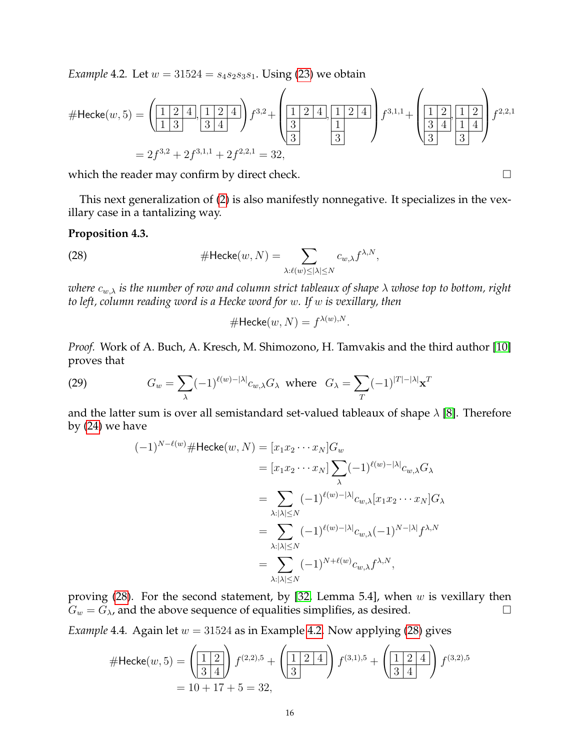<span id="page-15-2"></span>*Example* 4.2*.* Let  $w = 31524 = s_4s_2s_3s_1$ . Using [\(23\)](#page-13-2) we obtain

$$
\# \text{Hecke}(w, 5) = \left(\underbrace{\begin{bmatrix} 1 & 2 & 4 \\ 1 & 3 & 3 & 4 \end{bmatrix}}_{=2f^{3,2}+2f^{3,1,1}+2f^{2,2,1}}\right) f^{3,2} + \left(\underbrace{\begin{bmatrix} 1 & 2 & 4 \\ 3 & 1 & 2 & 4 \\ 3 & 3 & 3 & 3 \end{bmatrix}}_{=32,1f^{3,2}+2f^{3,1,1}+2f^{2,2,1} = 32,
$$

which the reader may confirm by direct check.

This next generalization of [\(2\)](#page-0-0) is also manifestly nonnegative. It specializes in the vexillary case in a tantalizing way.

### <span id="page-15-0"></span>**Proposition 4.3.**

(28) 
$$
\# \text{Hecke}(w, N) = \sum_{\lambda: \ell(w) \leq |\lambda| \leq N} c_{w,\lambda} f^{\lambda, N},
$$

*where*  $c_{w,\lambda}$  *is the number of row and column strict tableaux of shape*  $\lambda$  *whose top to bottom, right to left, column reading word is a Hecke word for* w*. If* w *is vexillary, then*

<span id="page-15-1"></span>
$$
\# \mathsf{Hecke}(w, N) = f^{\lambda(w), N}.
$$

*Proof.* Work of A. Buch, A. Kresch, M. Shimozono, H. Tamvakis and the third author [\[10\]](#page-21-2) proves that

(29) 
$$
G_w = \sum_{\lambda} (-1)^{\ell(w) - |\lambda|} c_{w,\lambda} G_{\lambda} \text{ where } G_{\lambda} = \sum_{T} (-1)^{|T| - |\lambda|} \mathbf{x}^T
$$

and the latter sum is over all semistandard set-valued tableaux of shape  $\lambda$  [\[8\]](#page-21-10). Therefore by [\(24\)](#page-14-0) we have

$$
(-1)^{N-\ell(w)} \# \text{Hecke}(w, N) = [x_1 x_2 \cdots x_N] G_w
$$
  
\n
$$
= [x_1 x_2 \cdots x_N] \sum_{\lambda} (-1)^{\ell(w) - |\lambda|} c_{w,\lambda} G_{\lambda}
$$
  
\n
$$
= \sum_{\lambda: |\lambda| \le N} (-1)^{\ell(w) - |\lambda|} c_{w,\lambda} [x_1 x_2 \cdots x_N] G_{\lambda}
$$
  
\n
$$
= \sum_{\lambda: |\lambda| \le N} (-1)^{\ell(w) - |\lambda|} c_{w,\lambda} (-1)^{N - |\lambda|} f^{\lambda, N}
$$
  
\n
$$
= \sum_{\lambda: |\lambda| \le N} (-1)^{N + \ell(w)} c_{w,\lambda} f^{\lambda, N},
$$

proving  $(28)$ . For the second statement, by  $[32,$  Lemma 5.4], when w is vexillary then  $G_w = G_\lambda$ , and the above sequence of equalities simplifies, as desired.

*Example* 4.4*.* Again let  $w = 31524$  as in Example [4.2.](#page-15-2) Now applying [\(28\)](#page-15-1) gives

$$
\# \text{Hecke}(w, 5) = \left(\begin{array}{c|c} 1 & 2 \\ 3 & 4 \end{array}\right) f^{(2,2),5} + \left(\begin{array}{c|c} 1 & 2 & 4 \\ 3 & & \end{array}\right) f^{(3,1),5} + \left(\begin{array}{c|c} 1 & 2 & 4 \\ 3 & 4 & \end{array}\right) f^{(3,2),5}
$$

$$
= 10 + 17 + 5 = 32,
$$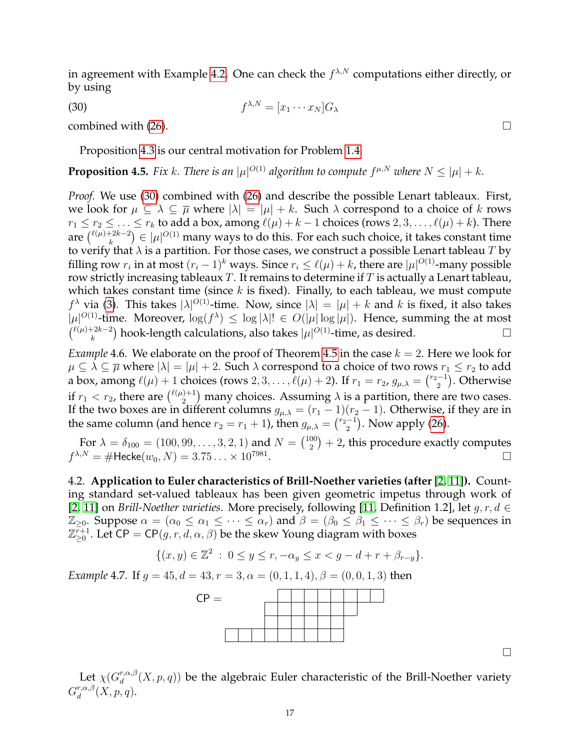in agreement with Example [4.2.](#page-15-2) One can check the  $f^{\lambda,N}$  computations either directly, or by using

<span id="page-16-1"></span> $f^{\lambda,N} = [x_1 \cdots x_N] G_\lambda$ 

 $(30)$  f

combined with [\(26\)](#page-14-2).

Proposition [4.3](#page-15-0) is our central motivation for Problem [1.4.](#page-2-1)

<span id="page-16-0"></span>**Proposition 4.5.** Fix k. There is an  $|\mu|^{O(1)}$  algorithm to compute  $f^{\mu,N}$  where  $N \leq |\mu| + k$ .

*Proof.* We use [\(30\)](#page-16-1) combined with [\(26\)](#page-14-2) and describe the possible Lenart tableaux. First, we look for  $\mu \subseteq \lambda \subseteq \overline{\mu}$  where  $|\lambda| = |\mu| + k$ . Such  $\lambda$  correspond to a choice of k rows  $r_1 \le r_2 \le \ldots \le r_k$  to add a box, among  $\ell(\mu) + k - 1$  choices (rows  $2, 3, \ldots, \ell(\mu) + k$ ). There are  $\binom{\ell(\mu)+2k-2}{k}$  $(\mathcal{C}^{2k-2}) \in |\mu|^{O(1)}$  many ways to do this. For each such choice, it takes constant time to verify that  $\lambda$  is a partition. For those cases, we construct a possible Lenart tableau T by filling row  $r_i$  in at most  $(r_i - 1)^k$  ways. Since  $r_i \leq \ell(\mu) + k$ , there are  $|\mu|^{O(1)}$ -many possible row strictly increasing tableaux  $T$ . It remains to determine if  $T$  is actually a Lenart tableau, which takes constant time (since  $k$  is fixed). Finally, to each tableau, we must compute  $f^{\lambda}$  via [\(3\)](#page-0-1). This takes  $|\lambda|^{O(1)}$ -time. Now, since  $|\lambda| = |\mu| + k$  and k is fixed, it also takes  $|\mu|^{O(1)}$ -time. Moreover,  $\log(f^{\lambda}) \leq \log |\lambda|! \in O(|\mu| \log |\mu|)$ . Hence, summing the at most  $\int_{-h}^{\ell(\mu)+2k-2}$  $\mathcal{L}_k^{(2k-2)}$  hook-length calculations, also takes  $|\mu|^{O(1)}$ -time, as desired.

*Example* 4.6*.* We elaborate on the proof of Theorem [4.5](#page-16-0) in the case  $k = 2$ . Here we look for  $\mu \subseteq \lambda \subseteq \overline{\mu}$  where  $|\lambda| = |\mu| + 2$ . Such  $\lambda$  correspond to a choice of two rows  $r_1 \leq r_2$  to add a box, among  $\ell(\mu) + 1$  choices (rows  $2, 3, \ldots, \ell(\mu) + 2$ ). If  $r_1 = r_2$ ,  $g_{\mu,\lambda} = \binom{r_2-1}{2}$  $\binom{-1}{2}$ . Otherwise if  $r_1 < r_2$ , there are  $\binom{\ell(\mu)+1}{2}$  $\binom{n}{2}$  many choices. Assuming  $\lambda$  is a partition, there are two cases. If the two boxes are in different columns  $g_{\mu,\lambda} = (r_1 - 1)(r_2 - 1)$ . Otherwise, if they are in the same column (and hence  $r_2 = r_1 + 1$ ), then  $g_{\mu,\lambda} = \binom{r_2-1}{2}$  $\binom{-1}{2}$ . Now apply [\(26\)](#page-14-2).

For  $\lambda = \delta_{100} = (100, 99, \dots, 3, 2, 1)$  and  $N = \binom{100}{2}$  $\binom{00}{2}+2$ , this procedure exactly computes  $f^{\lambda,N} = \# \textsf{Hecke}(w_0,N) = 3.75... \times 10^{7981}.$ 

4.2. **Application to Euler characteristics of Brill-Noether varieties (after** [\[2,](#page-21-12) [11\]](#page-21-11)**).** Counting standard set-valued tableaux has been given geometric impetus through work of [\[2,](#page-21-12) [11\]](#page-21-11) on *Brill-Noether varieties*. More precisely, following [\[11,](#page-21-11) Definition 1.2], let  $g, r, d \in$  $\mathbb{Z}_{\geq 0}$ . Suppose  $\alpha = (\alpha_0 \leq \alpha_1 \leq \cdots \leq \alpha_r)$  and  $\beta = (\beta_0 \leq \beta_1 \leq \cdots \leq \beta_r)$  be sequences in  $\mathbb{Z}_{\geq 0}^{\overline{r}+1}$ . Let CP = CP $(g, r, d, \alpha, \beta)$  be the skew Young diagram with boxes

$$
\{(x,y)\in\mathbb{Z}^2\;:\;0\leq y\leq r,-\alpha_y\leq x
$$

<span id="page-16-2"></span>*Example* 4.7*.* If  $q = 45$ ,  $d = 43$ ,  $r = 3$ ,  $\alpha = (0, 1, 1, 4)$ ,  $\beta = (0, 0, 1, 3)$  then



Let  $\chi(G^{r,\alpha,\beta}_d)$  $d_d^{r,\alpha,\beta}(X,p,q)$ ) be the algebraic Euler characteristic of the Brill-Noether variety  $G^{r,\alpha,\beta}_d$  $_{d}^{r,\alpha,\beta}(X,p,q).$ 

 $\Box$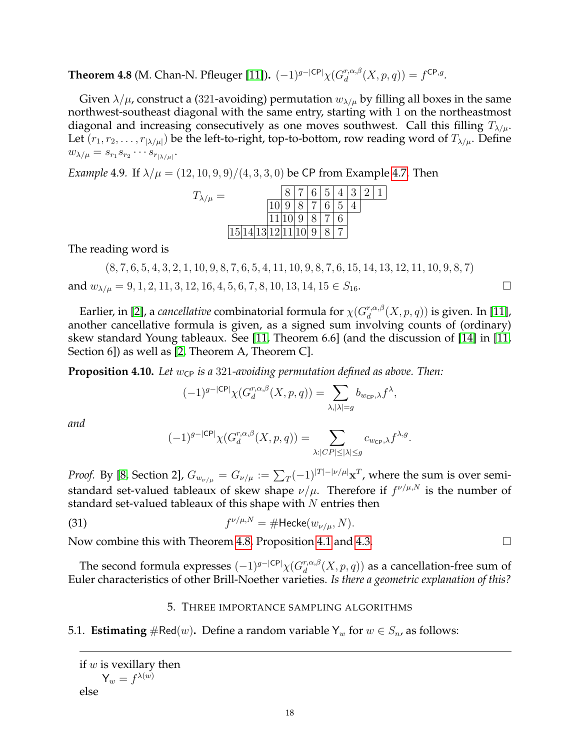<span id="page-17-2"></span>**Theorem 4.8** (M. Chan-N. Pfleuger [\[11\]](#page-21-11)).  $(-1)^{g-|\mathsf{CP}|} \chi(G_d^{r,\alpha,\beta})$  $f_d^{r,\alpha,\beta}(X,p,q)) = f^{\mathsf{CP},g}.$ 

Given  $\lambda/\mu$ , construct a (321-avoiding) permutation  $w_{\lambda/\mu}$  by filling all boxes in the same northwest-southeast diagonal with the same entry, starting with 1 on the northeastmost diagonal and increasing consecutively as one moves southwest. Call this filling  $T_{\lambda/\mu}$ . Let  $(r_1, r_2, \ldots, r_{|\lambda/\mu|})$  be the left-to-right, top-to-bottom, row reading word of  $T_{\lambda/\mu}$ . Define  $w_{\lambda/\mu} = s_{r_1} s_{r_2} \cdots s_{r_{|\lambda/\mu|}}.$ 

<span id="page-17-3"></span>*Example* 4.9. If  $\lambda/\mu = (12, 10, 9, 9)/(4, 3, 3, 0)$  be CP from Example [4.7.](#page-16-2) Then

| $T_{\lambda/\mu} =$ |  |                | 8 7 6 5 4 3 2 |                |  |  |
|---------------------|--|----------------|---------------|----------------|--|--|
|                     |  |                | 8 7 6         | $\overline{5}$ |  |  |
|                     |  |                | 8 7           |                |  |  |
| 15 14 1             |  | 9 <sup>1</sup> |               |                |  |  |

The reading word is

 $(8, 7, 6, 5, 4, 3, 2, 1, 10, 9, 8, 7, 6, 5, 4, 11, 10, 9, 8, 7, 6, 15, 14, 13, 12, 11, 10, 9, 8, 7)$ and  $w_{\lambda/\mu} = 9, 1, 2, 11, 3, 12, 16, 4, 5, 6, 7, 8, 10, 13, 14, 15 \in S_{16}$ .

Earlier, in [\[2\]](#page-21-12), a *cancellative* combinatorial formula for  $\chi(G_d^{r,\alpha,\beta})$  $d_d^{r,\alpha,\beta}(X,p,q))$  is given. In [\[11\]](#page-21-11), another cancellative formula is given, as a signed sum involving counts of (ordinary) skew standard Young tableaux. See [\[11,](#page-21-11) Theorem 6.6] (and the discussion of [\[14\]](#page-21-9) in [\[11,](#page-21-11) Section 6]) as well as [\[2,](#page-21-12) Theorem A, Theorem C].

<span id="page-17-0"></span>**Proposition 4.10.** Let  $w_{\text{CP}}$  is a 321-avoiding permutation defined as above. Then:

$$
(-1)^{g-|\mathsf{CP}|}\chi(G_d^{r,\alpha,\beta}(X,p,q))=\sum_{\lambda,|\lambda|=g}b_{w_{\mathsf{CP}},\lambda}f^{\lambda},
$$

*and*

<span id="page-17-5"></span>
$$
(-1)^{g-|\mathsf{CP}|}\chi(G_d^{r,\alpha,\beta}(X,p,q))=\sum_{\lambda:|CP|\leq|\lambda|\leq g}c_{w_{\mathsf{CP}},\lambda}f^{\lambda,g}.
$$

*Proof.* By [\[8,](#page-21-10) Section 2],  $G_{w_{\nu/\mu}} = G_{\nu/\mu} := \sum_T (-1)^{|T| - |\nu/\mu|} \mathbf{x}^T$ , where the sum is over semistandard set-valued tableaux of skew shape  $\nu/\mu$ . Therefore if  $f^{\nu/\mu,N}$  is the number of standard set-valued tableaux of this shape with  $N$  entries then

(31) 
$$
f^{\nu/\mu,N} = \# \text{Hecke}(w_{\nu/\mu}, N).
$$

Now combine this with Theorem [4.8,](#page-17-2) Proposition [4.1](#page-13-3) and [4.3.](#page-15-0)  $\Box$ 

The second formula expresses  $(-1)^{g-|\mathsf{CP}|}\chi(G_d^{r,\alpha,\beta})$  $d_d^{r,\alpha,\beta}(X,p,q))$  as a cancellation-free sum of Euler characteristics of other Brill-Noether varieties. *Is there a geometric explanation of this?*

#### 5. THREE IMPORTANCE SAMPLING ALGORITHMS

<span id="page-17-4"></span><span id="page-17-1"></span>5.1. **Estimating**  $\#\text{Red}(w)$ . Define a random variable  $Y_w$  for  $w \in S_n$ , as follows:

$$
\mathsf{Y}_w = f^{\lambda(w)}
$$

else

if  $w$  is vexillary then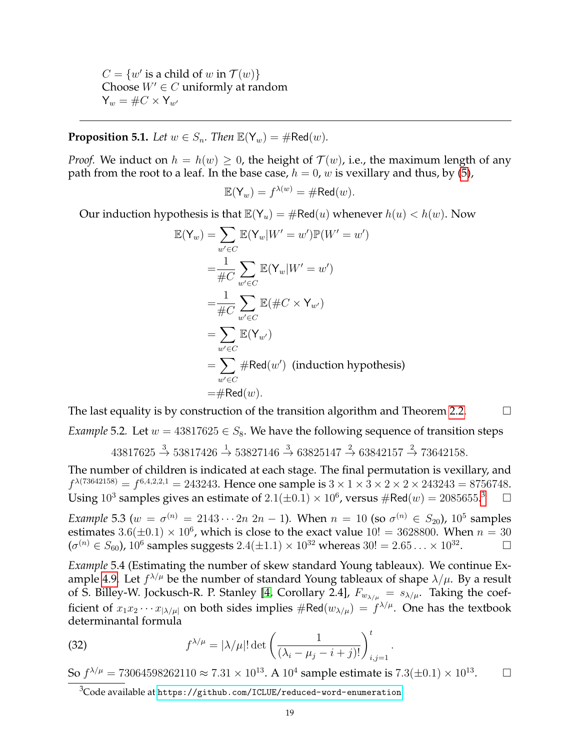$C = \{w' \text{ is a child of } w \text{ in } \mathcal{T}(w)\}\$ Choose  $W' \in C$  uniformly at random  $Y_w = \#C \times Y_{w'}$ 

# <span id="page-18-1"></span>**Proposition 5.1.** *Let*  $w \in S_n$ *. Then*  $\mathbb{E}(Y_w) = \# \text{Red}(w)$ *.*

*Proof.* We induct on  $h = h(w) \geq 0$ , the height of  $\mathcal{T}(w)$ , i.e., the maximum length of any path from the root to a leaf. In the base case,  $h = 0$ , w is vexillary and thus, by [\(5\)](#page-1-3),

$$
\mathbb{E}(\mathsf{Y}_w) = f^{\lambda(w)} = \# \mathsf{Red}(w).
$$

Our induction hypothesis is that  $\mathbb{E}(Y_u) = \# \text{Red}(u)$  whenever  $h(u) < h(w)$ . Now

$$
\mathbb{E}(\mathsf{Y}_w) = \sum_{w' \in C} \mathbb{E}(\mathsf{Y}_w | W' = w') \mathbb{P}(W' = w')
$$
  
\n
$$
= \frac{1}{\#C} \sum_{w' \in C} \mathbb{E}(\mathsf{Y}_w | W' = w')
$$
  
\n
$$
= \frac{1}{\#C} \sum_{w' \in C} \mathbb{E}(\#C \times \mathsf{Y}_{w'})
$$
  
\n
$$
= \sum_{w' \in C} \mathbb{E}(\mathsf{Y}_{w'})
$$
  
\n
$$
= \sum_{w' \in C} \# \text{Red}(w') \text{ (induction hypothesis)}
$$
  
\n
$$
= \# \text{Red}(w).
$$

The last equality is by construction of the transition algorithm and Theorem [2.2.](#page-6-7)  $\Box$ 

*Example* 5.2. Let  $w = 43817625 \in S_8$ . We have the following sequence of transition steps

$$
43817625 \stackrel{3}{\rightarrow} 53817426 \stackrel{1}{\rightarrow} 53827146 \stackrel{3}{\rightarrow} 63825147 \stackrel{2}{\rightarrow} 63842157 \stackrel{2}{\rightarrow} 73642158.
$$

The number of children is indicated at each stage. The final permutation is vexillary, and  $f^{\lambda(73642158)}=f^{6,4,2,2,1}=243243.$  Hence one sample is  $3\times 1\times 3\times 2\times 2\times 243243=8756748.$ Using 10<sup>3</sup> samples gives an estimate of  $2.1(\pm 0.1) \times 10^6$ , versus  $\#\text{Red}(w) = 2085655$ .  $\Box$ 

*Example* 5.3 ( $w = \sigma^{(n)} = 2143 \cdots 2n \ 2n - 1$ ). When  $n = 10$  (so  $\sigma^{(n)} \in S_{20}$ ),  $10^5$  samples estimates  $3.6(\pm 0.1) \times 10^6$ , which is close to the exact value  $10! = 3628800$ . When  $n = 30$  $(\sigma^{(n)} \in S_{60})$ ,  $10^6$  samples suggests  $2.4 (\pm 1.1) \times 10^{32}$  whereas  $30! = 2.65\ldots \times 10^{32}$  $\Box$ 

*Example* 5.4 (Estimating the number of skew standard Young tableaux)*.* We continue Ex-ample [4.9.](#page-17-3) Let  $f^{\lambda/\mu}$  be the number of standard Young tableaux of shape  $\lambda/\mu$ . By a result of S. Billey-W. Jockusch-R. P. Stanley [\[4,](#page-21-22) Corollary 2.4],  $F_{w_{\lambda/\mu}} = s_{\lambda/\mu}$ . Taking the coefficient of  $x_1x_2\cdots x_{|\lambda/\mu|}$  on both sides implies  $\#\text{Red}(w_{\lambda/\mu}) = f^{\lambda/\mu}$ . One has the textbook determinantal formula

(32) 
$$
f^{\lambda/\mu} = |\lambda/\mu|! \det \left( \frac{1}{(\lambda_i - \mu_j - i + j)!} \right)_{i,j=1}^t.
$$

So  $f^{\lambda/\mu}=73064598262110\approx 7.31\times 10^{13}.$  A  $10^4$  sample estimate is  $7.3(\pm0.1)\times 10^{13}$  $\Box$ 

<span id="page-18-0"></span> $3C$ ode available at <https://github.com/ICLUE/reduced-word-enumeration>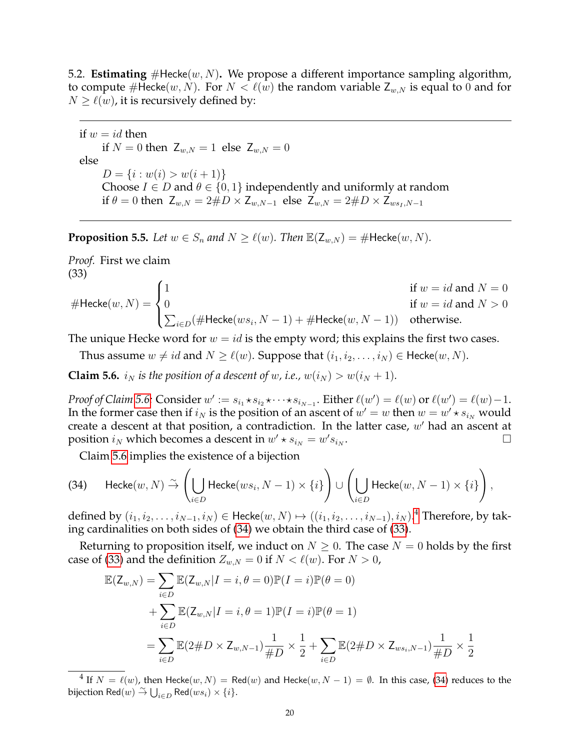5.2. **Estimating**  $\#$ Hecke $(w, N)$ . We propose a different importance sampling algorithm, to compute #Hecke $(w, N)$ . For  $N < \ell(w)$  the random variable  $Z_{w,N}$  is equal to 0 and for  $N \ge \ell(w)$ , it is recursively defined by:

if  $w = id$  then if  $N = 0$  then  $Z_{w,N} = 1$  else  $Z_{w,N} = 0$ else  $D = \{i : w(i) > w(i + 1)\}\$ Choose  $I \in D$  and  $\theta \in \{0, 1\}$  independently and uniformly at random if  $\theta = 0$  then  $Z_{w,N} = 2\#D \times Z_{w,N-1}$  else  $Z_{w,N} = 2\#D \times Z_{ws_1,N-1}$ 

<span id="page-19-4"></span>**Proposition 5.5.** Let  $w \in S_n$  and  $N \geq \ell(w)$ . Then  $\mathbb{E}(Z_{w,N}) = \text{\#Hecke}(w, N)$ .

*Proof.* First we claim (33)

<span id="page-19-3"></span>
$$
\# \text{Hecke}(w, N) = \begin{cases} 1 & \text{if } w = id \text{ and } N = 0 \\ 0 & \text{if } w = id \text{ and } N > 0 \\ \sum_{i \in D} (\# \text{Hecke}(ws_i, N-1) + \# \text{Hecke}(w, N-1)) & \text{otherwise.} \end{cases}
$$

The unique Hecke word for  $w = id$  is the empty word; this explains the first two cases.

Thus assume  $w \neq id$  and  $N \geq \ell(w)$ . Suppose that  $(i_1, i_2, \ldots, i_N) \in \text{Hecke}(w, N)$ .

<span id="page-19-0"></span>**Claim 5.6.**  $i_N$  *is the position of a descent of w, i.e.,*  $w(i_N) > w(i_N + 1)$ *.* 

*Proof of Claim [5.6:](#page-19-0)* Consider  $w' := s_{i_1} \star s_{i_2} \star \cdots \star s_{i_{N-1}}$ . Either  $\ell(w') = \ell(w)$  or  $\ell(w') = \ell(w) - 1$ . In the former case then if  $i_N$  is the position of an ascent of  $w' = w$  then  $w = w' \star s_{i_N}$  would create a descent at that position, a contradiction. In the latter case,  $w'$  had an ascent at position  $i_N$  which becomes a descent in  $w' \star s_{i_N} = w' s_{i_N}$ . В последните поставите на примерение в поставите на примерение в поставите на примерение в поставите на прим<br>В поставите на примерение в поставите на примерение в поставите на примерение в поставите на примерение в пост

<span id="page-19-2"></span>Claim [5.6](#page-19-0) implies the existence of a bijection

$$
\text{(34)} \qquad \text{Hecke}(w, N) \stackrel{\sim}{\rightarrow} \left(\bigcup_{i \in D} \text{Hecke}(ws_i, N-1) \times \{i\}\right) \cup \left(\bigcup_{i \in D} \text{Hecke}(w, N-1) \times \{i\}\right),
$$

defined by  $(i_1, i_2, \ldots, i_{N-1}, i_N) \in \text{Hecke}(w, N) \mapsto ((i_1, i_2, \ldots, i_{N-1}), i_N)$ .<sup>[4](#page-19-1)</sup> Therefore, by taking cardinalities on both sides of [\(34\)](#page-19-2) we obtain the third case of [\(33\)](#page-19-3).

Returning to proposition itself, we induct on  $N \geq 0$ . The case  $N = 0$  holds by the first case of [\(33\)](#page-19-3) and the definition  $Z_{w,N} = 0$  if  $N < l(w)$ . For  $N > 0$ ,

$$
\mathbb{E}(\mathsf{Z}_{w,N}) = \sum_{i \in D} \mathbb{E}(\mathsf{Z}_{w,N} | I = i, \theta = 0) \mathbb{P}(I = i) \mathbb{P}(\theta = 0)
$$
  
+ 
$$
\sum_{i \in D} \mathbb{E}(\mathsf{Z}_{w,N} | I = i, \theta = 1) \mathbb{P}(I = i) \mathbb{P}(\theta = 1)
$$
  
= 
$$
\sum_{i \in D} \mathbb{E}(2 \# D \times \mathsf{Z}_{w,N-1}) \frac{1}{\# D} \times \frac{1}{2} + \sum_{i \in D} \mathbb{E}(2 \# D \times \mathsf{Z}_{ws_i,N-1}) \frac{1}{\# D} \times \frac{1}{2}
$$

<span id="page-19-1"></span> $^4$  If  $N~=~\ell(w)$ , then Hecke $(w,N)~=~\mathsf{Red}(w)$  and Hecke $(w,N-1)~=~\emptyset.$  In this case, [\(34\)](#page-19-2) reduces to the bijection  $\textsf{Red}(w) \overset{\sim}{\to} \bigcup_{i \in D} \textsf{Red}(ws_i) \times \{i\}.$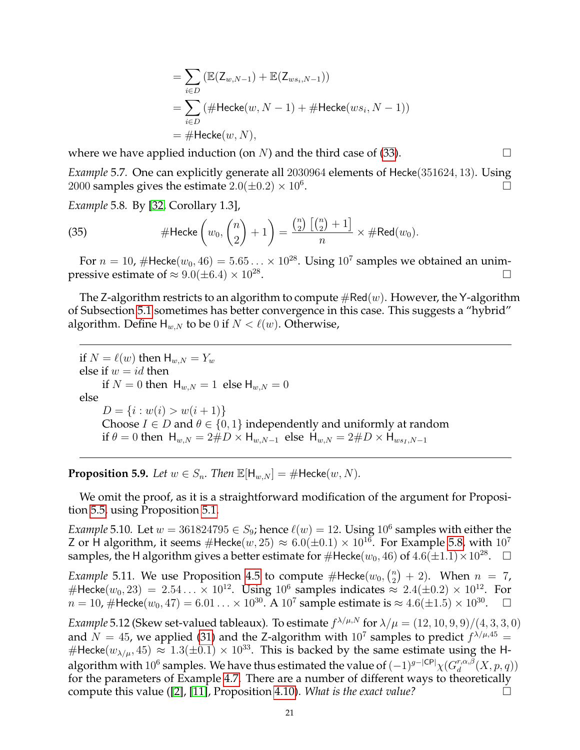$$
= \sum_{i \in D} (\mathbb{E}(Z_{w,N-1}) + \mathbb{E}(Z_{ws_i,N-1}))
$$
  
= 
$$
\sum_{i \in D} (\# \text{Hecke}(w, N-1) + \# \text{Hecke}(ws_i, N-1))
$$
  
= 
$$
\# \text{Hecke}(w, N),
$$

where we have applied induction (on N) and the third case of [\(33\)](#page-19-3).  $\Box$ 

*Example* 5.7*.* One can explicitly generate all 2030964 elements of Hecke(351624, 13). Using 2000 samples gives the estimate  $2.0(\pm 0.2) \times 10^6$ . .

<span id="page-20-0"></span>*Example* 5.8*.* By [\[32,](#page-22-11) Corollary 1.3],

(35) 
$$
\# \text{Hecke}\left(w_0, \binom{n}{2} + 1\right) = \frac{\binom{n}{2}\left[\binom{n}{2} + 1\right]}{n} \times \# \text{Red}(w_0).
$$

For  $n = 10$ , #Hecke $(w_0, 46) = 5.65... \times 10^{28}$ . Using  $10^7$  samples we obtained an unimpressive estimate of  $\approx 9.0(\pm 6.4) \times 10^{28}$ . .

The Z-algorithm restricts to an algorithm to compute  $\#\text{Red}(w)$ . However, the Y-algorithm of Subsection [5.1](#page-17-4) sometimes has better convergence in this case. This suggests a "hybrid" algorithm. Define  $H_{w,N}$  to be 0 if  $N < \ell(w)$ . Otherwise,

if  $N = \ell(w)$  then  $H_{w,N} = Y_w$ else if  $w = id$  then if  $N = 0$  then  $H_{w,N} = 1$  else  $H_{w,N} = 0$ else  $D = \{i : w(i) > w(i + 1)\}\$ Choose  $I \in D$  and  $\theta \in \{0, 1\}$  independently and uniformly at random if  $\theta = 0$  then  $H_{w,N} = 2\#D \times H_{w,N-1}$  else  $H_{w,N} = 2\#D \times H_{ws_1,N-1}$ 

**Proposition 5.9.** *Let*  $w \in S_n$ *. Then*  $\mathbb{E}[\mathsf{H}_{w,N}] = \# \mathsf{Hecke}(w,N)$ *.* 

We omit the proof, as it is a straightforward modification of the argument for Proposition [5.5,](#page-19-4) using Proposition [5.1.](#page-18-1)

*Example* 5.10. Let  $w = 361824795 \in S_9$ ; hence  $\ell(w) = 12$ . Using  $10^6$  samples with either the Z or H algorithm, it seems  $\#$ Hecke $(w, 25) \approx 6.0(\pm 0.1) \times 10^{16}$ . For Example [5.8,](#page-20-0) with  $10^7$ samples, the H algorithm gives a better estimate for  $\#$ Hecke $(w_0,46)$  of  $4.6(\pm 1.1)\times 10^{28}$ .  $\quad \Box$ 

*Example* 5.11. We use Proposition [4.5](#page-16-0) to compute  $#$ Hecke $(w_0, {n \choose 2})$  $\binom{n}{2}$  + 2). When  $n = 7$ , #Hecke $(w_0, 23) = 2.54... \times 10^{12}$ . Using  $10^6$  samples indicates  $\approx 2.4(\pm 0.2) \times 10^{12}$ . For  $n=10$ , #Hecke $(w_0,47)=6.01\ldots \times 10^{30}.$  A  $10^7$  sample estimate is  $\approx 4.6(\pm 1.5)\times 10^{30}$  $\Box$ 

*Example* 5.12 (Skew set-valued tableaux). To estimate  $f^{\lambda/\mu,N}$  for  $\lambda/\mu = (12, 10, 9, 9)/(4, 3, 3, 0)$ and  $N = 45$ , we applied [\(31\)](#page-17-5) and the Z-algorithm with  $10^7$  samples to predict  $f^{\lambda/\mu,45} =$ #Hecke( $w_{\lambda/\mu}$ , 45)  $\approx 1.3(\pm 0.1) \times 10^{33}$ . This is backed by the same estimate using the Halgorithm with  $10^6$  samples. We have thus estimated the value of  $(-1)^{g-|\mathsf{CP}|} \chi(G_d^{r,\alpha,\beta})$  $_{d}^{r,\alpha,\beta}(X,p,q))$ for the parameters of Example [4.7.](#page-16-2) There are a number of different ways to theoretically compute this value ([\[2\]](#page-21-12), [\[11\]](#page-21-11), Proposition [4.10\)](#page-17-0). *What is the exact value?*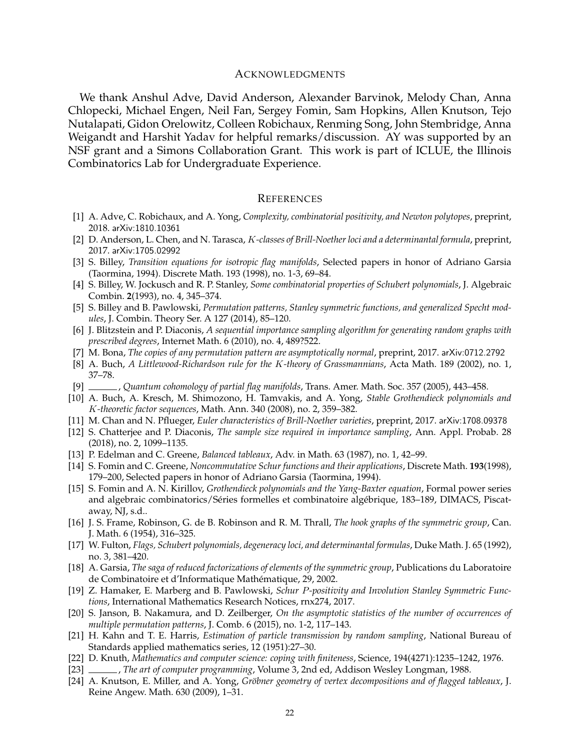#### ACKNOWLEDGMENTS

We thank Anshul Adve, David Anderson, Alexander Barvinok, Melody Chan, Anna Chlopecki, Michael Engen, Neil Fan, Sergey Fomin, Sam Hopkins, Allen Knutson, Tejo Nutalapati, Gidon Orelowitz, Colleen Robichaux, Renming Song, John Stembridge, Anna Weigandt and Harshit Yadav for helpful remarks/discussion. AY was supported by an NSF grant and a Simons Collaboration Grant. This work is part of ICLUE, the Illinois Combinatorics Lab for Undergraduate Experience.

#### **REFERENCES**

- <span id="page-21-17"></span>[1] A. Adve, C. Robichaux, and A. Yong, *Complexity, combinatorial positivity, and Newton polytopes*, preprint, 2018. arXiv:1810.10361
- <span id="page-21-12"></span>[2] D. Anderson, L. Chen, and N. Tarasca, K*-classes of Brill-Noether loci and a determinantal formula*, preprint, 2017. arXiv:1705.02992
- <span id="page-21-4"></span>[3] S. Billey, *Transition equations for isotropic flag manifolds*, Selected papers in honor of Adriano Garsia (Taormina, 1994). Discrete Math. 193 (1998), no. 1-3, 69–84.
- <span id="page-21-22"></span>[4] S. Billey, W. Jockusch and R. P. Stanley, *Some combinatorial properties of Schubert polynomials*, J. Algebraic Combin. **2**(1993), no. 4, 345–374.
- <span id="page-21-3"></span>[5] S. Billey and B. Pawlowski, *Permutation patterns, Stanley symmetric functions, and generalized Specht modules*, J. Combin. Theory Ser. A 127 (2014), 85–120.
- <span id="page-21-15"></span>[6] J. Blitzstein and P. Diaconis, *A sequential importance sampling algorithm for generating random graphs with prescribed degrees*, Internet Math. 6 (2010), no. 4, 489?522.
- <span id="page-21-19"></span>[7] M. Bona, *The copies of any permutation pattern are asymptotically normal*, preprint, 2017. arXiv:0712.2792
- <span id="page-21-10"></span>[8] A. Buch, *A Littlewood-Richardson rule for the* K*-theory of Grassmannians*, Acta Math. 189 (2002), no. 1, 37–78.
- <span id="page-21-5"></span>[9] , *Quantum cohomology of partial flag manifolds*, Trans. Amer. Math. Soc. 357 (2005), 443–458.
- <span id="page-21-2"></span>[10] A. Buch, A. Kresch, M. Shimozono, H. Tamvakis, and A. Yong, *Stable Grothendieck polynomials and* K*-theoretic factor sequences*, Math. Ann. 340 (2008), no. 2, 359–382.
- <span id="page-21-11"></span>[11] M. Chan and N. Pflueger, *Euler characteristics of Brill-Noether varieties*, preprint, 2017. arXiv:1708.09378
- [12] S. Chatterjee and P. Diaconis, *The sample size required in importance sampling*, Ann. Appl. Probab. 28 (2018), no. 2, 1099–1135.
- <span id="page-21-0"></span>[13] P. Edelman and C. Greene, *Balanced tableaux*, Adv. in Math. 63 (1987), no. 1, 42–99.
- <span id="page-21-9"></span>[14] S. Fomin and C. Greene, *Noncommutative Schur functions and their applications*, Discrete Math. **193**(1998), 179–200, Selected papers in honor of Adriano Garsia (Taormina, 1994).
- <span id="page-21-8"></span>[15] S. Fomin and A. N. Kirillov, *Grothendieck polynomials and the Yang-Baxter equation*, Formal power series and algebraic combinatorics/Séries formelles et combinatoire algébrique, 183-189, DIMACS, Piscataway, NJ, s.d..
- <span id="page-21-1"></span>[16] J. S. Frame, Robinson, G. de B. Robinson and R. M. Thrall, *The hook graphs of the symmetric group*, Can. J. Math. 6 (1954), 316–325.
- <span id="page-21-16"></span>[17] W. Fulton, *Flags, Schubert polynomials, degeneracy loci, and determinantal formulas*, Duke Math. J. 65 (1992), no. 3, 381–420.
- <span id="page-21-7"></span>[18] A. Garsia, *The saga of reduced factorizations of elements of the symmetric group*, Publications du Laboratoire de Combinatoire et d'Informatique Mathématique, 29, 2002.
- <span id="page-21-6"></span>[19] Z. Hamaker, E. Marberg and B. Pawlowski, *Schur* P*-positivity and Involution Stanley Symmetric Functions*, International Mathematics Research Notices, rnx274, 2017.
- <span id="page-21-20"></span>[20] S. Janson, B. Nakamura, and D. Zeilberger, *On the asymptotic statistics of the number of occurrences of multiple permutation patterns*, J. Comb. 6 (2015), no. 1-2, 117–143.
- <span id="page-21-13"></span>[21] H. Kahn and T. E. Harris, *Estimation of particle transmission by random sampling*, National Bureau of Standards applied mathematics series, 12 (1951):27–30.
- <span id="page-21-14"></span>[22] D. Knuth, *Mathematics and computer science: coping with finiteness*, Science, 194(4271):1235–1242, 1976.
- <span id="page-21-21"></span>[23] , *The art of computer programming*, Volume 3, 2nd ed, Addison Wesley Longman, 1988.
- <span id="page-21-18"></span>[24] A. Knutson, E. Miller, and A. Yong, *Gröbner geometry of vertex decompositions and of flagged tableaux*, J. Reine Angew. Math. 630 (2009), 1–31.